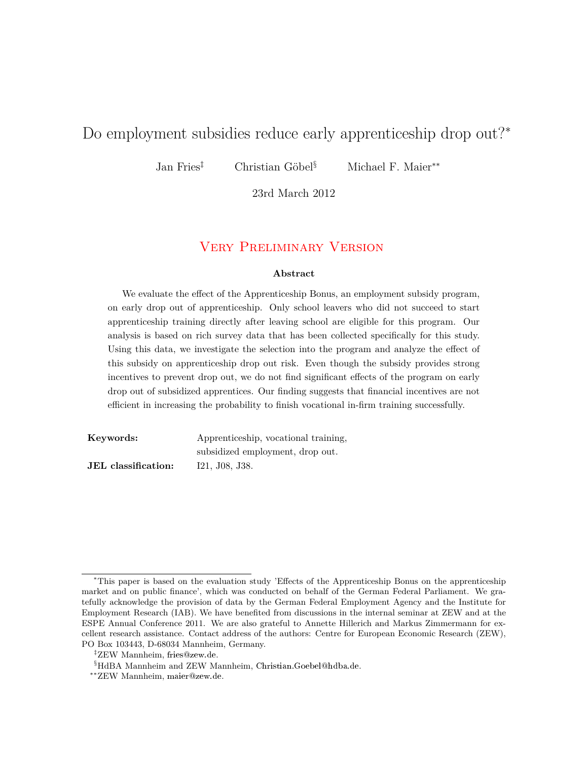# Do employment subsidies reduce early apprenticeship drop out?<sup>∗</sup>

Jan Fries‡ Christian Göbel§ Michael F. Maier∗∗

23rd March 2012

### Very Preliminary Version

#### **Abstract**

We evaluate the effect of the Apprenticeship Bonus, an employment subsidy program, on early drop out of apprenticeship. Only school leavers who did not succeed to start apprenticeship training directly after leaving school are eligible for this program. Our analysis is based on rich survey data that has been collected specifically for this study. Using this data, we investigate the selection into the program and analyze the effect of this subsidy on apprenticeship drop out risk. Even though the subsidy provides strong incentives to prevent drop out, we do not find significant effects of the program on early drop out of subsidized apprentices. Our finding suggests that financial incentives are not efficient in increasing the probability to finish vocational in-firm training successfully.

| Keywords:                  | Apprenticeship, vocational training, |
|----------------------------|--------------------------------------|
|                            | subsidized employment, drop out.     |
| <b>JEL</b> classification: | I21, J08, J38.                       |

<sup>∗</sup>This paper is based on the evaluation study 'Effects of the Apprenticeship Bonus on the apprenticeship market and on public finance', which was conducted on behalf of the German Federal Parliament. We gratefully acknowledge the provision of data by the German Federal Employment Agency and the Institute for Employment Research (IAB). We have benefited from discussions in the internal seminar at ZEW and at the ESPE Annual Conference 2011. We are also grateful to Annette Hillerich and Markus Zimmermann for excellent research assistance. Contact address of the authors: Centre for European Economic Research (ZEW), PO Box 103443, D-68034 Mannheim, Germany.

<sup>‡</sup>ZEW Mannheim, fries@zew.de.

<sup>§</sup>HdBA Mannheim and ZEW Mannheim, Christian.Goebel@hdba.de.

<sup>∗∗</sup>ZEW Mannheim, maier@zew.de.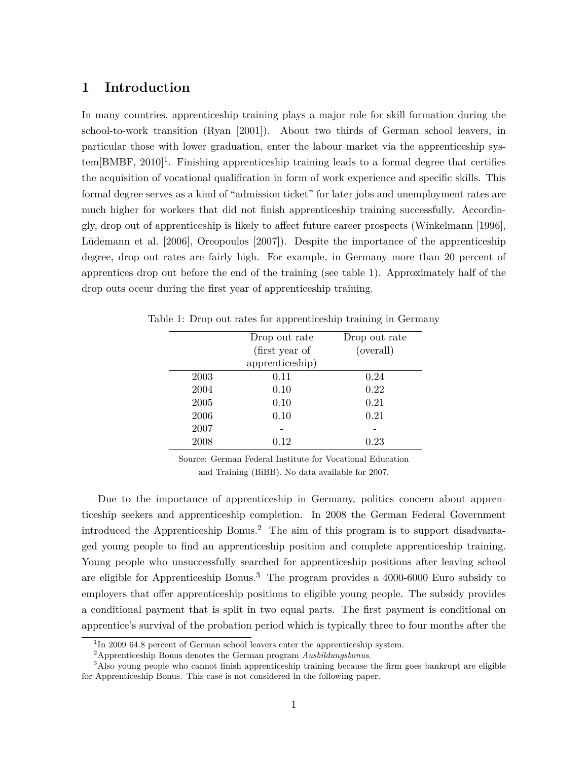### **1 Introduction**

In many countries, apprenticeship training plays a major role for skill formation during the school-to-work transition (Ryan [2001]). About two thirds of German school leavers, in particular those with lower graduation, enter the labour market via the apprenticeship sys $tem[BMBF, 2010]$ <sup>1</sup>. Finishing apprenticeship training leads to a formal degree that certifies the acquisition of vocational qualification in form of work experience and specific skills. This formal degree serves as a kind of "admission ticket" for later jobs and unemployment rates are much higher for workers that did not finish apprenticeship training successfully. Accordingly, drop out of apprenticeship is likely to affect future career prospects (Winkelmann [1996], Lüdemann et al. [2006], Oreopoulos [2007]). Despite the importance of the apprenticeship degree, drop out rates are fairly high. For example, in Germany more than 20 percent of apprentices drop out before the end of the training (see table 1). Approximately half of the drop outs occur during the first year of apprenticeship training.

|      | Drop out rate   | Drop out rate |
|------|-----------------|---------------|
|      | (first year of  | (overall)     |
|      | apprenticeship) |               |
| 2003 | 0.11            | 0.24          |
| 2004 | 0.10            | 0.22          |
| 2005 | 0.10            | 0.21          |
| 2006 | 0.10            | 0.21          |
| 2007 |                 |               |
| 2008 | 0.12            | 0.23          |

Table 1: Drop out rates for apprenticeship training in Germany

Source: German Federal Institute for Vocational Education and Training (BiBB). No data available for 2007.

Due to the importance of apprenticeship in Germany, politics concern about apprenticeship seekers and apprenticeship completion. In 2008 the German Federal Government introduced the Apprenticeship Bonus.<sup>2</sup> The aim of this program is to support disadvantaged young people to find an apprenticeship position and complete apprenticeship training. Young people who unsuccessfully searched for apprenticeship positions after leaving school are eligible for Apprenticeship Bonus.<sup>3</sup> The program provides a 4000-6000 Euro subsidy to employers that offer apprenticeship positions to eligible young people. The subsidy provides a conditional payment that is split in two equal parts. The first payment is conditional on apprentice's survival of the probation period which is typically three to four months after the

<sup>&</sup>lt;sup>1</sup>In 2009 64.8 percent of German school leavers enter the apprenticeship system.

<sup>2</sup>Apprenticeship Bonus denotes the German program *Ausbildungsbonus*.

<sup>&</sup>lt;sup>3</sup>Also young people who cannot finish apprenticeship training because the firm goes bankrupt are eligible for Apprenticeship Bonus. This case is not considered in the following paper.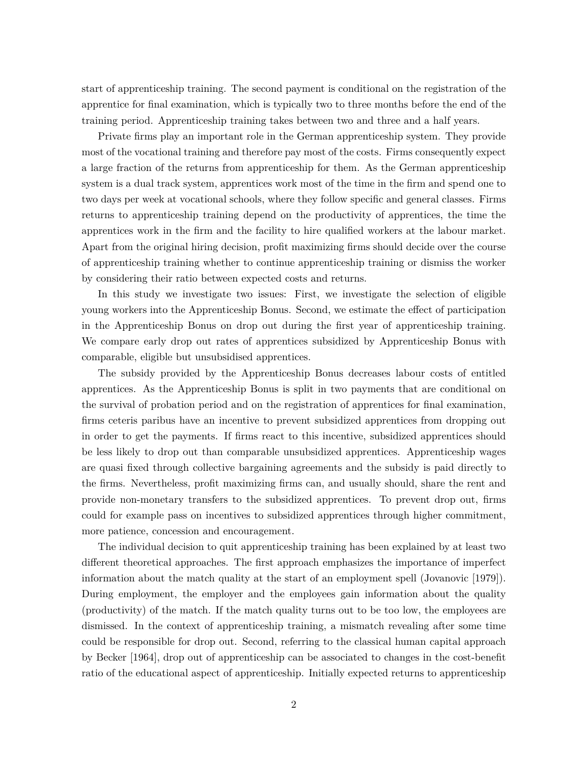start of apprenticeship training. The second payment is conditional on the registration of the apprentice for final examination, which is typically two to three months before the end of the training period. Apprenticeship training takes between two and three and a half years.

Private firms play an important role in the German apprenticeship system. They provide most of the vocational training and therefore pay most of the costs. Firms consequently expect a large fraction of the returns from apprenticeship for them. As the German apprenticeship system is a dual track system, apprentices work most of the time in the firm and spend one to two days per week at vocational schools, where they follow specific and general classes. Firms returns to apprenticeship training depend on the productivity of apprentices, the time the apprentices work in the firm and the facility to hire qualified workers at the labour market. Apart from the original hiring decision, profit maximizing firms should decide over the course of apprenticeship training whether to continue apprenticeship training or dismiss the worker by considering their ratio between expected costs and returns.

In this study we investigate two issues: First, we investigate the selection of eligible young workers into the Apprenticeship Bonus. Second, we estimate the effect of participation in the Apprenticeship Bonus on drop out during the first year of apprenticeship training. We compare early drop out rates of apprentices subsidized by Apprenticeship Bonus with comparable, eligible but unsubsidised apprentices.

The subsidy provided by the Apprenticeship Bonus decreases labour costs of entitled apprentices. As the Apprenticeship Bonus is split in two payments that are conditional on the survival of probation period and on the registration of apprentices for final examination, firms ceteris paribus have an incentive to prevent subsidized apprentices from dropping out in order to get the payments. If firms react to this incentive, subsidized apprentices should be less likely to drop out than comparable unsubsidized apprentices. Apprenticeship wages are quasi fixed through collective bargaining agreements and the subsidy is paid directly to the firms. Nevertheless, profit maximizing firms can, and usually should, share the rent and provide non-monetary transfers to the subsidized apprentices. To prevent drop out, firms could for example pass on incentives to subsidized apprentices through higher commitment, more patience, concession and encouragement.

The individual decision to quit apprenticeship training has been explained by at least two different theoretical approaches. The first approach emphasizes the importance of imperfect information about the match quality at the start of an employment spell (Jovanovic [1979]). During employment, the employer and the employees gain information about the quality (productivity) of the match. If the match quality turns out to be too low, the employees are dismissed. In the context of apprenticeship training, a mismatch revealing after some time could be responsible for drop out. Second, referring to the classical human capital approach by Becker [1964], drop out of apprenticeship can be associated to changes in the cost-benefit ratio of the educational aspect of apprenticeship. Initially expected returns to apprenticeship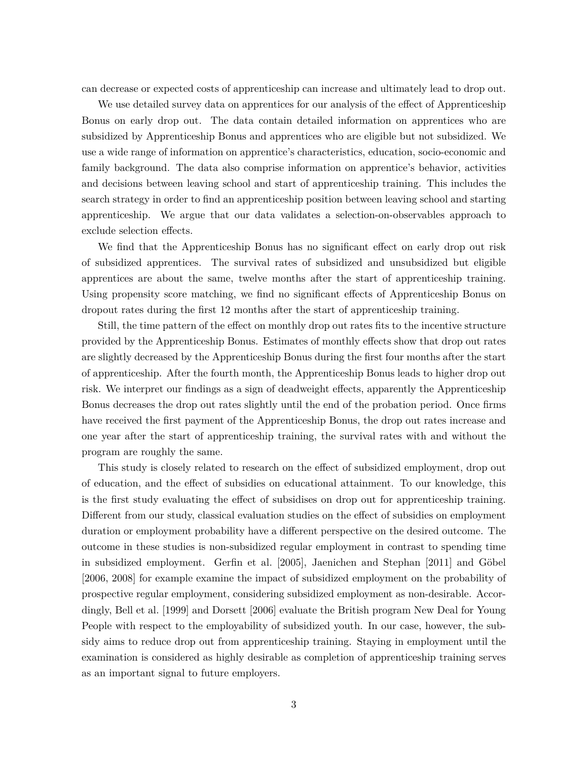can decrease or expected costs of apprenticeship can increase and ultimately lead to drop out.

We use detailed survey data on apprentices for our analysis of the effect of Apprenticeship Bonus on early drop out. The data contain detailed information on apprentices who are subsidized by Apprenticeship Bonus and apprentices who are eligible but not subsidized. We use a wide range of information on apprentice's characteristics, education, socio-economic and family background. The data also comprise information on apprentice's behavior, activities and decisions between leaving school and start of apprenticeship training. This includes the search strategy in order to find an apprenticeship position between leaving school and starting apprenticeship. We argue that our data validates a selection-on-observables approach to exclude selection effects.

We find that the Apprenticeship Bonus has no significant effect on early drop out risk of subsidized apprentices. The survival rates of subsidized and unsubsidized but eligible apprentices are about the same, twelve months after the start of apprenticeship training. Using propensity score matching, we find no significant effects of Apprenticeship Bonus on dropout rates during the first 12 months after the start of apprenticeship training.

Still, the time pattern of the effect on monthly drop out rates fits to the incentive structure provided by the Apprenticeship Bonus. Estimates of monthly effects show that drop out rates are slightly decreased by the Apprenticeship Bonus during the first four months after the start of apprenticeship. After the fourth month, the Apprenticeship Bonus leads to higher drop out risk. We interpret our findings as a sign of deadweight effects, apparently the Apprenticeship Bonus decreases the drop out rates slightly until the end of the probation period. Once firms have received the first payment of the Apprenticeship Bonus, the drop out rates increase and one year after the start of apprenticeship training, the survival rates with and without the program are roughly the same.

This study is closely related to research on the effect of subsidized employment, drop out of education, and the effect of subsidies on educational attainment. To our knowledge, this is the first study evaluating the effect of subsidises on drop out for apprenticeship training. Different from our study, classical evaluation studies on the effect of subsidies on employment duration or employment probability have a different perspective on the desired outcome. The outcome in these studies is non-subsidized regular employment in contrast to spending time in subsidized employment. Gerfin et al. [2005], Jaenichen and Stephan [2011] and Göbel [2006, 2008] for example examine the impact of subsidized employment on the probability of prospective regular employment, considering subsidized employment as non-desirable. Accordingly, Bell et al. [1999] and Dorsett [2006] evaluate the British program New Deal for Young People with respect to the employability of subsidized youth. In our case, however, the subsidy aims to reduce drop out from apprenticeship training. Staying in employment until the examination is considered as highly desirable as completion of apprenticeship training serves as an important signal to future employers.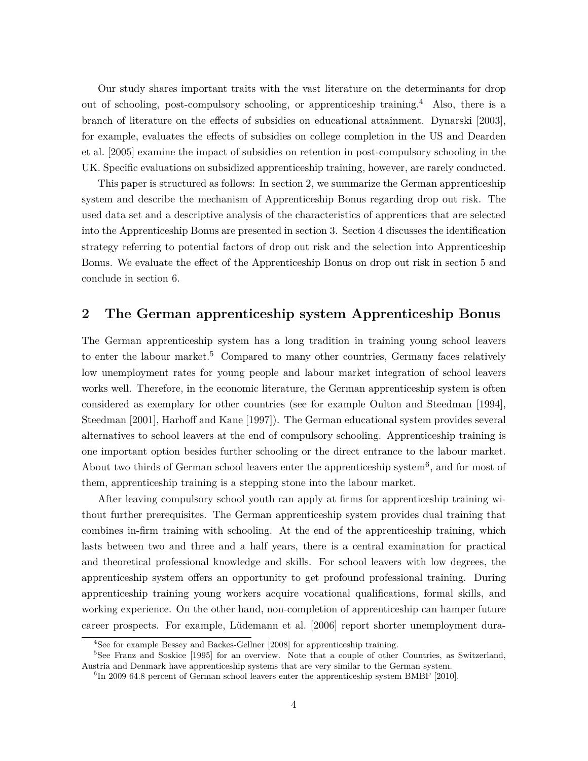Our study shares important traits with the vast literature on the determinants for drop out of schooling, post-compulsory schooling, or apprenticeship training.<sup>4</sup> Also, there is a branch of literature on the effects of subsidies on educational attainment. Dynarski [2003], for example, evaluates the effects of subsidies on college completion in the US and Dearden et al. [2005] examine the impact of subsidies on retention in post-compulsory schooling in the UK. Specific evaluations on subsidized apprenticeship training, however, are rarely conducted.

This paper is structured as follows: In section 2, we summarize the German apprenticeship system and describe the mechanism of Apprenticeship Bonus regarding drop out risk. The used data set and a descriptive analysis of the characteristics of apprentices that are selected into the Apprenticeship Bonus are presented in section 3. Section 4 discusses the identification strategy referring to potential factors of drop out risk and the selection into Apprenticeship Bonus. We evaluate the effect of the Apprenticeship Bonus on drop out risk in section 5 and conclude in section 6.

### **2 The German apprenticeship system Apprenticeship Bonus**

The German apprenticeship system has a long tradition in training young school leavers to enter the labour market.<sup>5</sup> Compared to many other countries, Germany faces relatively low unemployment rates for young people and labour market integration of school leavers works well. Therefore, in the economic literature, the German apprenticeship system is often considered as exemplary for other countries (see for example Oulton and Steedman [1994], Steedman [2001], Harhoff and Kane [1997]). The German educational system provides several alternatives to school leavers at the end of compulsory schooling. Apprenticeship training is one important option besides further schooling or the direct entrance to the labour market. About two thirds of German school leavers enter the apprenticeship system<sup>6</sup>, and for most of them, apprenticeship training is a stepping stone into the labour market.

After leaving compulsory school youth can apply at firms for apprenticeship training without further prerequisites. The German apprenticeship system provides dual training that combines in-firm training with schooling. At the end of the apprenticeship training, which lasts between two and three and a half years, there is a central examination for practical and theoretical professional knowledge and skills. For school leavers with low degrees, the apprenticeship system offers an opportunity to get profound professional training. During apprenticeship training young workers acquire vocational qualifications, formal skills, and working experience. On the other hand, non-completion of apprenticeship can hamper future career prospects. For example, Lüdemann et al. [2006] report shorter unemployment dura-

<sup>&</sup>lt;sup>4</sup>See for example Bessey and Backes-Gellner [2008] for apprenticeship training.

<sup>5</sup>See Franz and Soskice [1995] for an overview. Note that a couple of other Countries, as Switzerland, Austria and Denmark have apprenticeship systems that are very similar to the German system.

<sup>&</sup>lt;sup>6</sup>In 2009 64.8 percent of German school leavers enter the apprenticeship system BMBF [2010].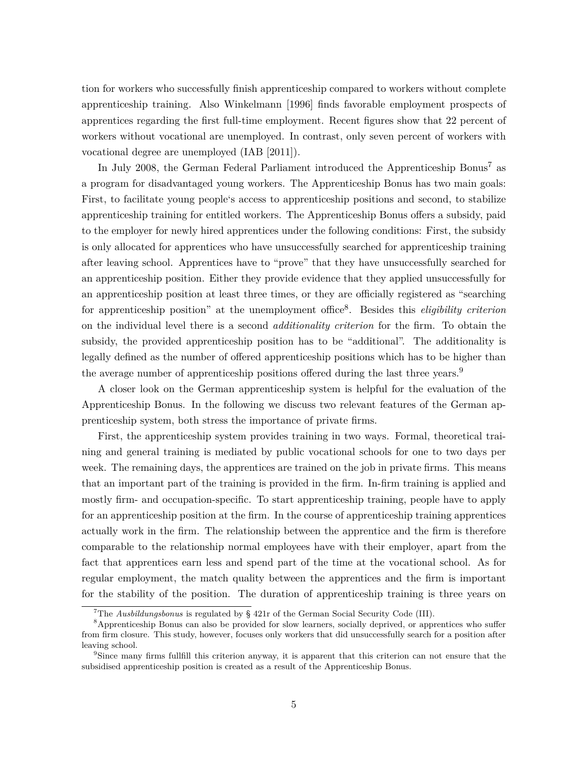tion for workers who successfully finish apprenticeship compared to workers without complete apprenticeship training. Also Winkelmann [1996] finds favorable employment prospects of apprentices regarding the first full-time employment. Recent figures show that 22 percent of workers without vocational are unemployed. In contrast, only seven percent of workers with vocational degree are unemployed (IAB [2011]).

In July 2008, the German Federal Parliament introduced the Apprenticeship Bonus<sup>7</sup> as a program for disadvantaged young workers. The Apprenticeship Bonus has two main goals: First, to facilitate young people's access to apprenticeship positions and second, to stabilize apprenticeship training for entitled workers. The Apprenticeship Bonus offers a subsidy, paid to the employer for newly hired apprentices under the following conditions: First, the subsidy is only allocated for apprentices who have unsuccessfully searched for apprenticeship training after leaving school. Apprentices have to "prove" that they have unsuccessfully searched for an apprenticeship position. Either they provide evidence that they applied unsuccessfully for an apprenticeship position at least three times, or they are officially registered as "searching for apprenticeship position" at the unemployment office<sup>8</sup> . Besides this *eligibility criterion* on the individual level there is a second *additionality criterion* for the firm. To obtain the subsidy, the provided apprenticeship position has to be "additional". The additionality is legally defined as the number of offered apprenticeship positions which has to be higher than the average number of apprenticeship positions offered during the last three years.<sup>9</sup>

A closer look on the German apprenticeship system is helpful for the evaluation of the Apprenticeship Bonus. In the following we discuss two relevant features of the German apprenticeship system, both stress the importance of private firms.

First, the apprenticeship system provides training in two ways. Formal, theoretical training and general training is mediated by public vocational schools for one to two days per week. The remaining days, the apprentices are trained on the job in private firms. This means that an important part of the training is provided in the firm. In-firm training is applied and mostly firm- and occupation-specific. To start apprenticeship training, people have to apply for an apprenticeship position at the firm. In the course of apprenticeship training apprentices actually work in the firm. The relationship between the apprentice and the firm is therefore comparable to the relationship normal employees have with their employer, apart from the fact that apprentices earn less and spend part of the time at the vocational school. As for regular employment, the match quality between the apprentices and the firm is important for the stability of the position. The duration of apprenticeship training is three years on

<sup>7</sup>The *Ausbildungsbonus* is regulated by § 421r of the German Social Security Code (III).

<sup>&</sup>lt;sup>8</sup>Apprenticeship Bonus can also be provided for slow learners, socially deprived, or apprentices who suffer from firm closure. This study, however, focuses only workers that did unsuccessfully search for a position after leaving school.

<sup>&</sup>lt;sup>9</sup>Since many firms fullfill this criterion anyway, it is apparent that this criterion can not ensure that the subsidised apprenticeship position is created as a result of the Apprenticeship Bonus.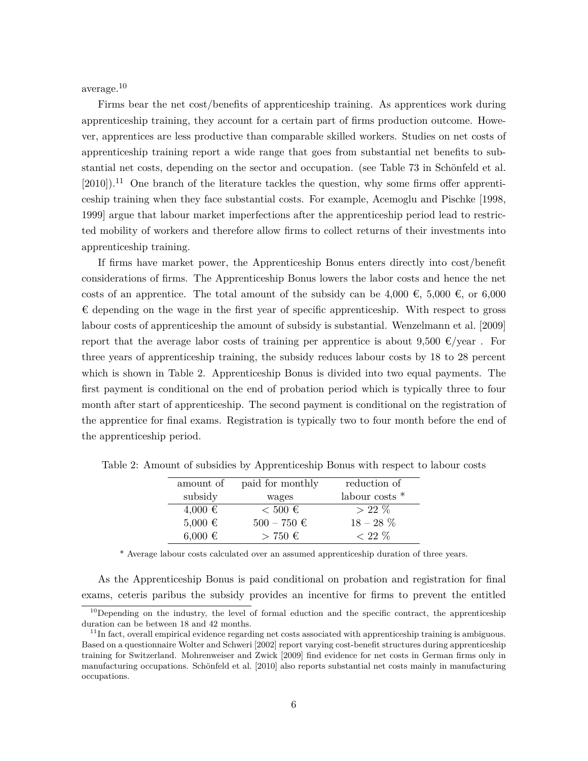average.<sup>10</sup>

Firms bear the net cost/benefits of apprenticeship training. As apprentices work during apprenticeship training, they account for a certain part of firms production outcome. However, apprentices are less productive than comparable skilled workers. Studies on net costs of apprenticeship training report a wide range that goes from substantial net benefits to substantial net costs, depending on the sector and occupation. (see Table 73 in Schönfeld et al.  $[2010]$ .<sup>11</sup> One branch of the literature tackles the question, why some firms offer apprenticeship training when they face substantial costs. For example, Acemoglu and Pischke [1998, 1999] argue that labour market imperfections after the apprenticeship period lead to restricted mobility of workers and therefore allow firms to collect returns of their investments into apprenticeship training.

If firms have market power, the Apprenticeship Bonus enters directly into cost/benefit considerations of firms. The Apprenticeship Bonus lowers the labor costs and hence the net costs of an apprentice. The total amount of the subsidy can be 4,000  $\epsilon$ , 5,000  $\epsilon$ , or 6,000  $\epsilon$  depending on the wage in the first year of specific apprenticeship. With respect to gross labour costs of apprenticeship the amount of subsidy is substantial. Wenzelmann et al. [2009] report that the average labor costs of training per apprentice is about 9,500  $\epsilon$ /year. For three years of apprenticeship training, the subsidy reduces labour costs by 18 to 28 percent which is shown in Table 2. Apprenticeship Bonus is divided into two equal payments. The first payment is conditional on the end of probation period which is typically three to four month after start of apprenticeship. The second payment is conditional on the registration of the apprentice for final exams. Registration is typically two to four month before the end of the apprenticeship period.

| amount of   | paid for monthly     | reduction of   |
|-------------|----------------------|----------------|
| subsidy     | wages                | labour costs * |
| $4,000 \in$ | $< 500 \text{ } \in$ | $>22\%$        |
| $5,000 \in$ | $500 - 750 \in$      | $18 - 28\%$    |
| $6.000 \in$ | $> 750 \text{ } \in$ | $< 22 \%$      |

Table 2: Amount of subsidies by Apprenticeship Bonus with respect to labour costs

\* Average labour costs calculated over an assumed apprenticeship duration of three years.

As the Apprenticeship Bonus is paid conditional on probation and registration for final exams, ceteris paribus the subsidy provides an incentive for firms to prevent the entitled

 $10$ Depending on the industry, the level of formal eduction and the specific contract, the apprenticeship duration can be between 18 and 42 months.

 $11$ In fact, overall empirical evidence regarding net costs associated with apprenticeship training is ambiguous. Based on a questionnaire Wolter and Schweri [2002] report varying cost-benefit structures during apprenticeship training for Switzerland. Mohrenweiser and Zwick [2009] find evidence for net costs in German firms only in manufacturing occupations. Schönfeld et al. [2010] also reports substantial net costs mainly in manufacturing occupations.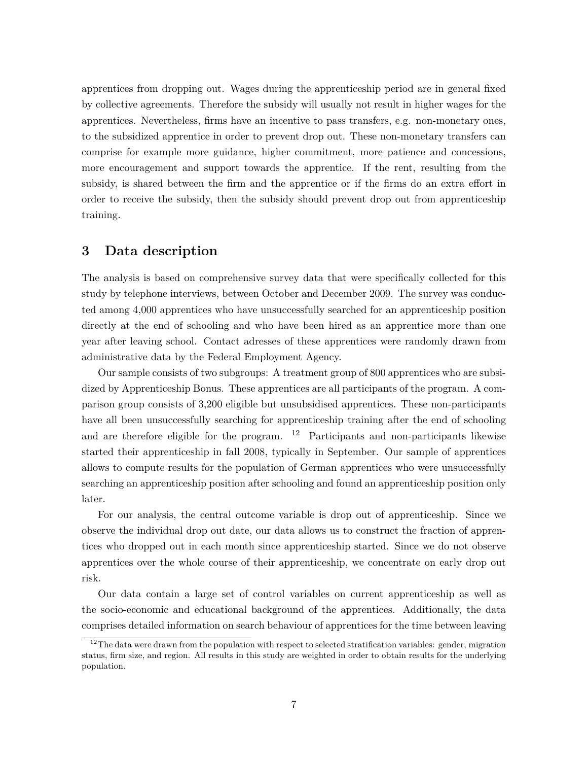apprentices from dropping out. Wages during the apprenticeship period are in general fixed by collective agreements. Therefore the subsidy will usually not result in higher wages for the apprentices. Nevertheless, firms have an incentive to pass transfers, e.g. non-monetary ones, to the subsidized apprentice in order to prevent drop out. These non-monetary transfers can comprise for example more guidance, higher commitment, more patience and concessions, more encouragement and support towards the apprentice. If the rent, resulting from the subsidy, is shared between the firm and the apprentice or if the firms do an extra effort in order to receive the subsidy, then the subsidy should prevent drop out from apprenticeship training.

### **3 Data description**

The analysis is based on comprehensive survey data that were specifically collected for this study by telephone interviews, between October and December 2009. The survey was conducted among 4,000 apprentices who have unsuccessfully searched for an apprenticeship position directly at the end of schooling and who have been hired as an apprentice more than one year after leaving school. Contact adresses of these apprentices were randomly drawn from administrative data by the Federal Employment Agency.

Our sample consists of two subgroups: A treatment group of 800 apprentices who are subsidized by Apprenticeship Bonus. These apprentices are all participants of the program. A comparison group consists of 3,200 eligible but unsubsidised apprentices. These non-participants have all been unsuccessfully searching for apprenticeship training after the end of schooling and are therefore eligible for the program.  $12$  Participants and non-participants likewise started their apprenticeship in fall 2008, typically in September. Our sample of apprentices allows to compute results for the population of German apprentices who were unsuccessfully searching an apprenticeship position after schooling and found an apprenticeship position only later.

For our analysis, the central outcome variable is drop out of apprenticeship. Since we observe the individual drop out date, our data allows us to construct the fraction of apprentices who dropped out in each month since apprenticeship started. Since we do not observe apprentices over the whole course of their apprenticeship, we concentrate on early drop out risk.

Our data contain a large set of control variables on current apprenticeship as well as the socio-economic and educational background of the apprentices. Additionally, the data comprises detailed information on search behaviour of apprentices for the time between leaving

 $12$ The data were drawn from the population with respect to selected stratification variables: gender, migration status, firm size, and region. All results in this study are weighted in order to obtain results for the underlying population.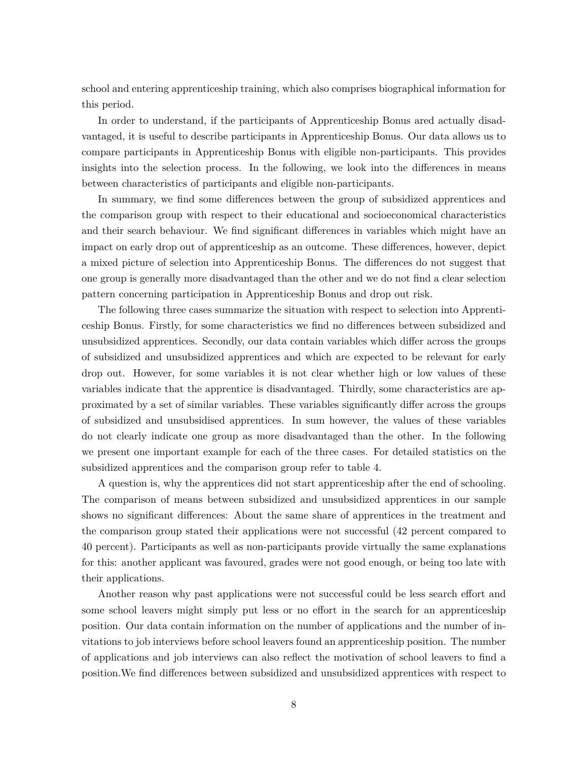school and entering apprenticeship training, which also comprises biographical information for this period.

In order to understand, if the participants of Apprenticeship Bonus ared actually disadvantaged, it is useful to describe participants in Apprenticeship Bonus. Our data allows us to compare participants in Apprenticeship Bonus with eligible non-participants. This provides insights into the selection process. In the following, we look into the differences in means between characteristics of participants and eligible non-participants.

In summary, we find some differences between the group of subsidized apprentices and the comparison group with respect to their educational and socioeconomical characteristics and their search behaviour. We find significant differences in variables which might have an impact on early drop out of apprenticeship as an outcome. These differences, however, depict a mixed picture of selection into Apprenticeship Bonus. The differences do not suggest that one group is generally more disadvantaged than the other and we do not find a clear selection pattern concerning participation in Apprenticeship Bonus and drop out risk.

The following three cases summarize the situation with respect to selection into Apprenticeship Bonus. Firstly, for some characteristics we find no differences between subsidized and unsubsidized apprentices. Secondly, our data contain variables which differ across the groups of subsidized and unsubsidized apprentices and which are expected to be relevant for early drop out. However, for some variables it is not clear whether high or low values of these variables indicate that the apprentice is disadvantaged. Thirdly, some characteristics are approximated by a set of similar variables. These variables significantly differ across the groups of subsidized and unsubsidised apprentices. In sum however, the values of these variables do not clearly indicate one group as more disadvantaged than the other. In the following we present one important example for each of the three cases. For detailed statistics on the subsidized apprentices and the comparison group refer to table 4.

A question is, why the apprentices did not start apprenticeship after the end of schooling. The comparison of means between subsidized and unsubsidized apprentices in our sample shows no significant differences: About the same share of apprentices in the treatment and the comparison group stated their applications were not successful (42 percent compared to 40 percent). Participants as well as non-participants provide virtually the same explanations for this: another applicant was favoured, grades were not good enough, or being too late with their applications.

Another reason why past applications were not successful could be less search effort and some school leavers might simply put less or no effort in the search for an apprenticeship position. Our data contain information on the number of applications and the number of invitations to job interviews before school leavers found an apprenticeship position. The number of applications and job interviews can also reflect the motivation of school leavers to find a position.We find differences between subsidized and unsubsidized apprentices with respect to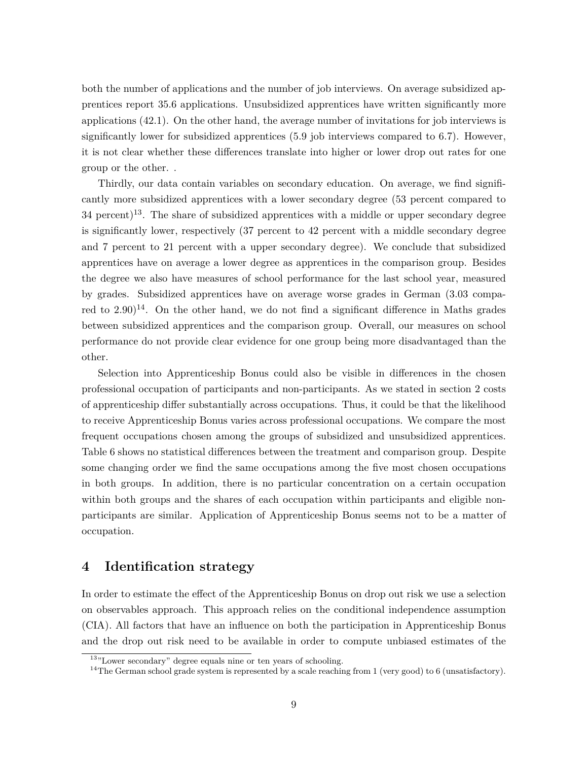both the number of applications and the number of job interviews. On average subsidized apprentices report 35.6 applications. Unsubsidized apprentices have written significantly more applications (42.1). On the other hand, the average number of invitations for job interviews is significantly lower for subsidized apprentices (5.9 job interviews compared to 6.7). However, it is not clear whether these differences translate into higher or lower drop out rates for one group or the other. .

Thirdly, our data contain variables on secondary education. On average, we find significantly more subsidized apprentices with a lower secondary degree (53 percent compared to  $34$  percent)<sup>13</sup>. The share of subsidized apprentices with a middle or upper secondary degree is significantly lower, respectively (37 percent to 42 percent with a middle secondary degree and 7 percent to 21 percent with a upper secondary degree). We conclude that subsidized apprentices have on average a lower degree as apprentices in the comparison group. Besides the degree we also have measures of school performance for the last school year, measured by grades. Subsidized apprentices have on average worse grades in German (3.03 compared to  $2.90$ <sup>14</sup>. On the other hand, we do not find a significant difference in Maths grades between subsidized apprentices and the comparison group. Overall, our measures on school performance do not provide clear evidence for one group being more disadvantaged than the other.

Selection into Apprenticeship Bonus could also be visible in differences in the chosen professional occupation of participants and non-participants. As we stated in section 2 costs of apprenticeship differ substantially across occupations. Thus, it could be that the likelihood to receive Apprenticeship Bonus varies across professional occupations. We compare the most frequent occupations chosen among the groups of subsidized and unsubsidized apprentices. Table 6 shows no statistical differences between the treatment and comparison group. Despite some changing order we find the same occupations among the five most chosen occupations in both groups. In addition, there is no particular concentration on a certain occupation within both groups and the shares of each occupation within participants and eligible nonparticipants are similar. Application of Apprenticeship Bonus seems not to be a matter of occupation.

### **4 Identification strategy**

In order to estimate the effect of the Apprenticeship Bonus on drop out risk we use a selection on observables approach. This approach relies on the conditional independence assumption (CIA). All factors that have an influence on both the participation in Apprenticeship Bonus and the drop out risk need to be available in order to compute unbiased estimates of the

<sup>13</sup>"Lower secondary" degree equals nine or ten years of schooling.

 $14$ The German school grade system is represented by a scale reaching from 1 (very good) to 6 (unsatisfactory).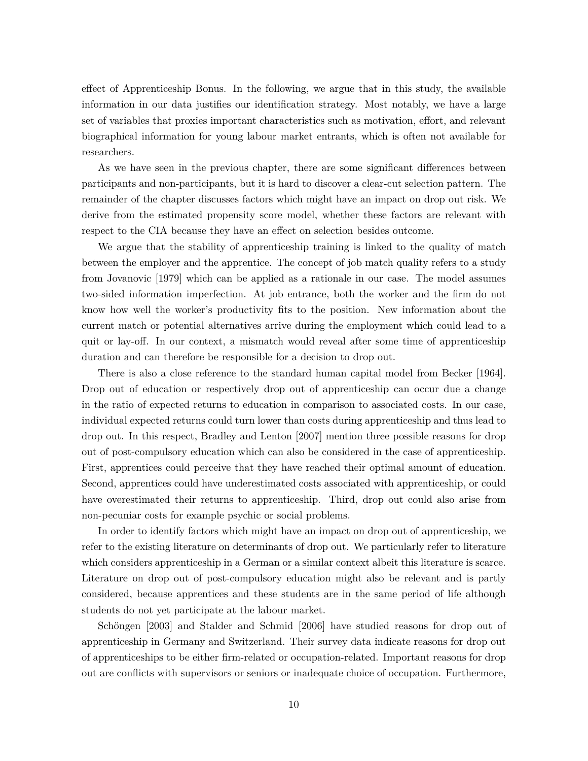effect of Apprenticeship Bonus. In the following, we argue that in this study, the available information in our data justifies our identification strategy. Most notably, we have a large set of variables that proxies important characteristics such as motivation, effort, and relevant biographical information for young labour market entrants, which is often not available for researchers.

As we have seen in the previous chapter, there are some significant differences between participants and non-participants, but it is hard to discover a clear-cut selection pattern. The remainder of the chapter discusses factors which might have an impact on drop out risk. We derive from the estimated propensity score model, whether these factors are relevant with respect to the CIA because they have an effect on selection besides outcome.

We argue that the stability of apprenticeship training is linked to the quality of match between the employer and the apprentice. The concept of job match quality refers to a study from Jovanovic [1979] which can be applied as a rationale in our case. The model assumes two-sided information imperfection. At job entrance, both the worker and the firm do not know how well the worker's productivity fits to the position. New information about the current match or potential alternatives arrive during the employment which could lead to a quit or lay-off. In our context, a mismatch would reveal after some time of apprenticeship duration and can therefore be responsible for a decision to drop out.

There is also a close reference to the standard human capital model from Becker [1964]. Drop out of education or respectively drop out of apprenticeship can occur due a change in the ratio of expected returns to education in comparison to associated costs. In our case, individual expected returns could turn lower than costs during apprenticeship and thus lead to drop out. In this respect, Bradley and Lenton [2007] mention three possible reasons for drop out of post-compulsory education which can also be considered in the case of apprenticeship. First, apprentices could perceive that they have reached their optimal amount of education. Second, apprentices could have underestimated costs associated with apprenticeship, or could have overestimated their returns to apprenticeship. Third, drop out could also arise from non-pecuniar costs for example psychic or social problems.

In order to identify factors which might have an impact on drop out of apprenticeship, we refer to the existing literature on determinants of drop out. We particularly refer to literature which considers apprenticeship in a German or a similar context albeit this literature is scarce. Literature on drop out of post-compulsory education might also be relevant and is partly considered, because apprentices and these students are in the same period of life although students do not yet participate at the labour market.

Schöngen [2003] and Stalder and Schmid [2006] have studied reasons for drop out of apprenticeship in Germany and Switzerland. Their survey data indicate reasons for drop out of apprenticeships to be either firm-related or occupation-related. Important reasons for drop out are conflicts with supervisors or seniors or inadequate choice of occupation. Furthermore,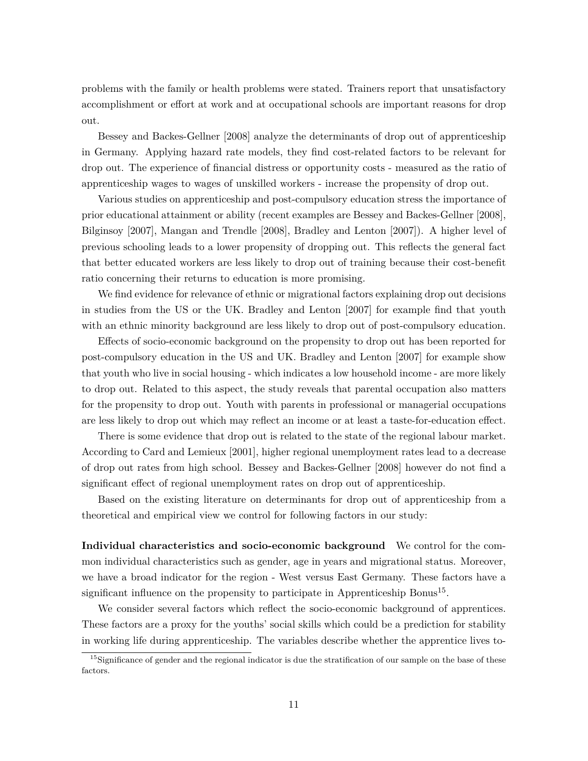problems with the family or health problems were stated. Trainers report that unsatisfactory accomplishment or effort at work and at occupational schools are important reasons for drop out.

Bessey and Backes-Gellner [2008] analyze the determinants of drop out of apprenticeship in Germany. Applying hazard rate models, they find cost-related factors to be relevant for drop out. The experience of financial distress or opportunity costs - measured as the ratio of apprenticeship wages to wages of unskilled workers - increase the propensity of drop out.

Various studies on apprenticeship and post-compulsory education stress the importance of prior educational attainment or ability (recent examples are Bessey and Backes-Gellner [2008], Bilginsoy [2007], Mangan and Trendle [2008], Bradley and Lenton [2007]). A higher level of previous schooling leads to a lower propensity of dropping out. This reflects the general fact that better educated workers are less likely to drop out of training because their cost-benefit ratio concerning their returns to education is more promising.

We find evidence for relevance of ethnic or migrational factors explaining drop out decisions in studies from the US or the UK. Bradley and Lenton [2007] for example find that youth with an ethnic minority background are less likely to drop out of post-compulsory education.

Effects of socio-economic background on the propensity to drop out has been reported for post-compulsory education in the US and UK. Bradley and Lenton [2007] for example show that youth who live in social housing - which indicates a low household income - are more likely to drop out. Related to this aspect, the study reveals that parental occupation also matters for the propensity to drop out. Youth with parents in professional or managerial occupations are less likely to drop out which may reflect an income or at least a taste-for-education effect.

There is some evidence that drop out is related to the state of the regional labour market. According to Card and Lemieux [2001], higher regional unemployment rates lead to a decrease of drop out rates from high school. Bessey and Backes-Gellner [2008] however do not find a significant effect of regional unemployment rates on drop out of apprenticeship.

Based on the existing literature on determinants for drop out of apprenticeship from a theoretical and empirical view we control for following factors in our study:

**Individual characteristics and socio-economic background** We control for the common individual characteristics such as gender, age in years and migrational status. Moreover, we have a broad indicator for the region - West versus East Germany. These factors have a significant influence on the propensity to participate in Apprenticeship Bonus<sup>15</sup>.

We consider several factors which reflect the socio-economic background of apprentices. These factors are a proxy for the youths' social skills which could be a prediction for stability in working life during apprenticeship. The variables describe whether the apprentice lives to-

<sup>&</sup>lt;sup>15</sup>Significance of gender and the regional indicator is due the stratification of our sample on the base of these factors.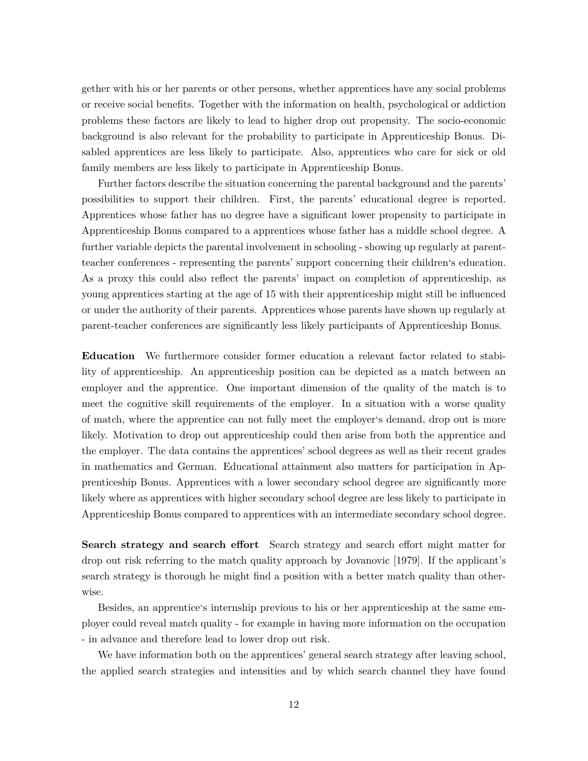gether with his or her parents or other persons, whether apprentices have any social problems or receive social benefits. Together with the information on health, psychological or addiction problems these factors are likely to lead to higher drop out propensity. The socio-economic background is also relevant for the probability to participate in Apprenticeship Bonus. Disabled apprentices are less likely to participate. Also, apprentices who care for sick or old family members are less likely to participate in Apprenticeship Bonus.

Further factors describe the situation concerning the parental background and the parents' possibilities to support their children. First, the parents' educational degree is reported. Apprentices whose father has no degree have a significant lower propensity to participate in Apprenticeship Bonus compared to a apprentices whose father has a middle school degree. A further variable depicts the parental involvement in schooling - showing up regularly at parentteacher conferences - representing the parents' support concerning their children's education. As a proxy this could also reflect the parents' impact on completion of apprenticeship, as young apprentices starting at the age of 15 with their apprenticeship might still be influenced or under the authority of their parents. Apprentices whose parents have shown up regularly at parent-teacher conferences are significantly less likely participants of Apprenticeship Bonus.

**Education** We furthermore consider former education a relevant factor related to stability of apprenticeship. An apprenticeship position can be depicted as a match between an employer and the apprentice. One important dimension of the quality of the match is to meet the cognitive skill requirements of the employer. In a situation with a worse quality of match, where the apprentice can not fully meet the employer's demand, drop out is more likely. Motivation to drop out apprenticeship could then arise from both the apprentice and the employer. The data contains the apprentices' school degrees as well as their recent grades in mathematics and German. Educational attainment also matters for participation in Apprenticeship Bonus. Apprentices with a lower secondary school degree are significantly more likely where as apprentices with higher secondary school degree are less likely to participate in Apprenticeship Bonus compared to apprentices with an intermediate secondary school degree.

**Search strategy and search effort** Search strategy and search effort might matter for drop out risk referring to the match quality approach by Jovanovic [1979]. If the applicant's search strategy is thorough he might find a position with a better match quality than otherwise.

Besides, an apprentice's internship previous to his or her apprenticeship at the same employer could reveal match quality - for example in having more information on the occupation - in advance and therefore lead to lower drop out risk.

We have information both on the apprentices' general search strategy after leaving school, the applied search strategies and intensities and by which search channel they have found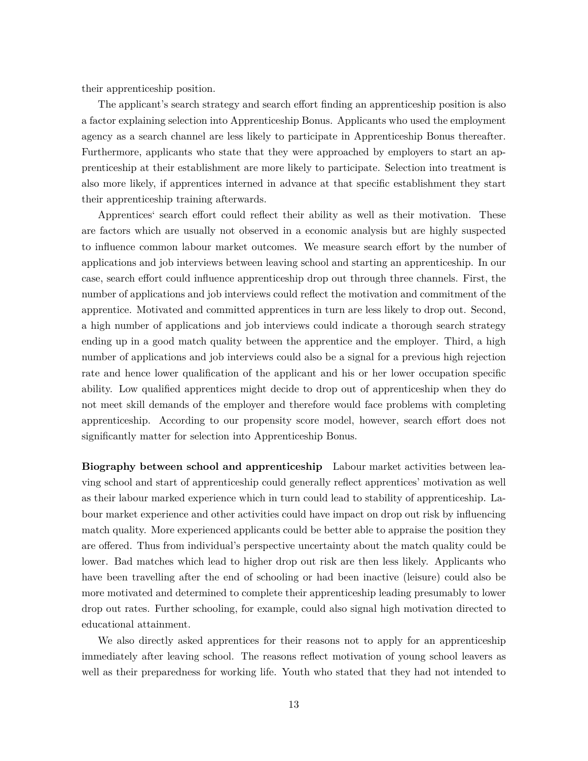their apprenticeship position.

The applicant's search strategy and search effort finding an apprenticeship position is also a factor explaining selection into Apprenticeship Bonus. Applicants who used the employment agency as a search channel are less likely to participate in Apprenticeship Bonus thereafter. Furthermore, applicants who state that they were approached by employers to start an apprenticeship at their establishment are more likely to participate. Selection into treatment is also more likely, if apprentices interned in advance at that specific establishment they start their apprenticeship training afterwards.

Apprentices' search effort could reflect their ability as well as their motivation. These are factors which are usually not observed in a economic analysis but are highly suspected to influence common labour market outcomes. We measure search effort by the number of applications and job interviews between leaving school and starting an apprenticeship. In our case, search effort could influence apprenticeship drop out through three channels. First, the number of applications and job interviews could reflect the motivation and commitment of the apprentice. Motivated and committed apprentices in turn are less likely to drop out. Second, a high number of applications and job interviews could indicate a thorough search strategy ending up in a good match quality between the apprentice and the employer. Third, a high number of applications and job interviews could also be a signal for a previous high rejection rate and hence lower qualification of the applicant and his or her lower occupation specific ability. Low qualified apprentices might decide to drop out of apprenticeship when they do not meet skill demands of the employer and therefore would face problems with completing apprenticeship. According to our propensity score model, however, search effort does not significantly matter for selection into Apprenticeship Bonus.

**Biography between school and apprenticeship** Labour market activities between leaving school and start of apprenticeship could generally reflect apprentices' motivation as well as their labour marked experience which in turn could lead to stability of apprenticeship. Labour market experience and other activities could have impact on drop out risk by influencing match quality. More experienced applicants could be better able to appraise the position they are offered. Thus from individual's perspective uncertainty about the match quality could be lower. Bad matches which lead to higher drop out risk are then less likely. Applicants who have been travelling after the end of schooling or had been inactive (leisure) could also be more motivated and determined to complete their apprenticeship leading presumably to lower drop out rates. Further schooling, for example, could also signal high motivation directed to educational attainment.

We also directly asked apprentices for their reasons not to apply for an apprenticeship immediately after leaving school. The reasons reflect motivation of young school leavers as well as their preparedness for working life. Youth who stated that they had not intended to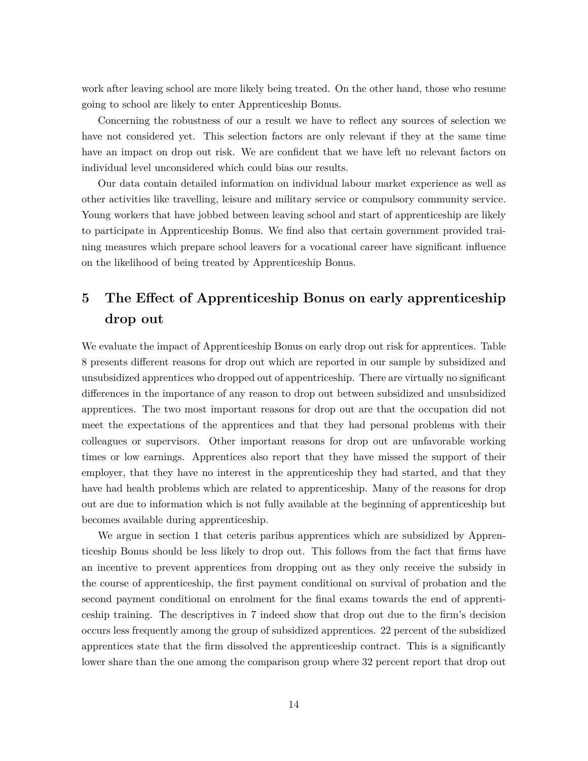work after leaving school are more likely being treated. On the other hand, those who resume going to school are likely to enter Apprenticeship Bonus.

Concerning the robustness of our a result we have to reflect any sources of selection we have not considered yet. This selection factors are only relevant if they at the same time have an impact on drop out risk. We are confident that we have left no relevant factors on individual level unconsidered which could bias our results.

Our data contain detailed information on individual labour market experience as well as other activities like travelling, leisure and military service or compulsory community service. Young workers that have jobbed between leaving school and start of apprenticeship are likely to participate in Apprenticeship Bonus. We find also that certain government provided training measures which prepare school leavers for a vocational career have significant influence on the likelihood of being treated by Apprenticeship Bonus.

# **5 The Effect of Apprenticeship Bonus on early apprenticeship drop out**

We evaluate the impact of Apprenticeship Bonus on early drop out risk for apprentices. Table 8 presents different reasons for drop out which are reported in our sample by subsidized and unsubsidized apprentices who dropped out of appentriceship. There are virtually no significant differences in the importance of any reason to drop out between subsidized and unsubsidized apprentices. The two most important reasons for drop out are that the occupation did not meet the expectations of the apprentices and that they had personal problems with their colleagues or supervisors. Other important reasons for drop out are unfavorable working times or low earnings. Apprentices also report that they have missed the support of their employer, that they have no interest in the apprenticeship they had started, and that they have had health problems which are related to apprenticeship. Many of the reasons for drop out are due to information which is not fully available at the beginning of apprenticeship but becomes available during apprenticeship.

We argue in section 1 that ceteris paribus apprentices which are subsidized by Apprenticeship Bonus should be less likely to drop out. This follows from the fact that firms have an incentive to prevent apprentices from dropping out as they only receive the subsidy in the course of apprenticeship, the first payment conditional on survival of probation and the second payment conditional on enrolment for the final exams towards the end of apprenticeship training. The descriptives in 7 indeed show that drop out due to the firm's decision occurs less frequently among the group of subsidized apprentices. 22 percent of the subsidized apprentices state that the firm dissolved the apprenticeship contract. This is a significantly lower share than the one among the comparison group where 32 percent report that drop out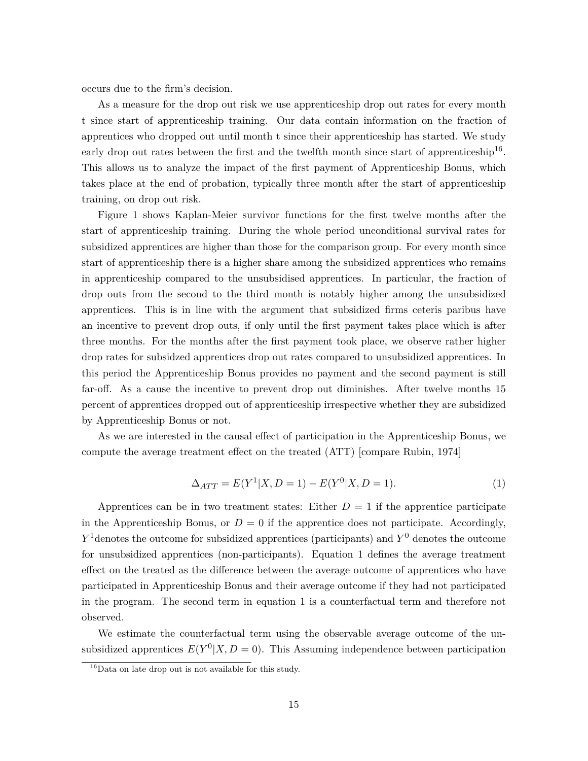occurs due to the firm's decision.

As a measure for the drop out risk we use apprenticeship drop out rates for every month t since start of apprenticeship training. Our data contain information on the fraction of apprentices who dropped out until month t since their apprenticeship has started. We study early drop out rates between the first and the twelfth month since start of apprenticeship<sup>16</sup>. This allows us to analyze the impact of the first payment of Apprenticeship Bonus, which takes place at the end of probation, typically three month after the start of apprenticeship training, on drop out risk.

Figure 1 shows Kaplan-Meier survivor functions for the first twelve months after the start of apprenticeship training. During the whole period unconditional survival rates for subsidized apprentices are higher than those for the comparison group. For every month since start of apprenticeship there is a higher share among the subsidized apprentices who remains in apprenticeship compared to the unsubsidised apprentices. In particular, the fraction of drop outs from the second to the third month is notably higher among the unsubsidized apprentices. This is in line with the argument that subsidized firms ceteris paribus have an incentive to prevent drop outs, if only until the first payment takes place which is after three months. For the months after the first payment took place, we observe rather higher drop rates for subsidzed apprentices drop out rates compared to unsubsidized apprentices. In this period the Apprenticeship Bonus provides no payment and the second payment is still far-off. As a cause the incentive to prevent drop out diminishes. After twelve months 15 percent of apprentices dropped out of apprenticeship irrespective whether they are subsidized by Apprenticeship Bonus or not.

As we are interested in the causal effect of participation in the Apprenticeship Bonus, we compute the average treatment effect on the treated (ATT) [compare Rubin, 1974]

$$
\Delta_{ATT} = E(Y^1|X, D = 1) - E(Y^0|X, D = 1).
$$
\n(1)

Apprentices can be in two treatment states: Either  $D = 1$  if the apprentice participate in the Apprenticeship Bonus, or  $D = 0$  if the apprentice does not participate. Accordingly, *Y*<sup>1</sup> denotes the outcome for subsidized apprentices (participants) and *Y*<sup>0</sup> denotes the outcome for unsubsidized apprentices (non-participants). Equation 1 defines the average treatment effect on the treated as the difference between the average outcome of apprentices who have participated in Apprenticeship Bonus and their average outcome if they had not participated in the program. The second term in equation 1 is a counterfactual term and therefore not observed.

We estimate the counterfactual term using the observable average outcome of the unsubsidized apprentices  $E(Y^0|X, D=0)$ . This Assuming independence between participation

<sup>16</sup>Data on late drop out is not available for this study.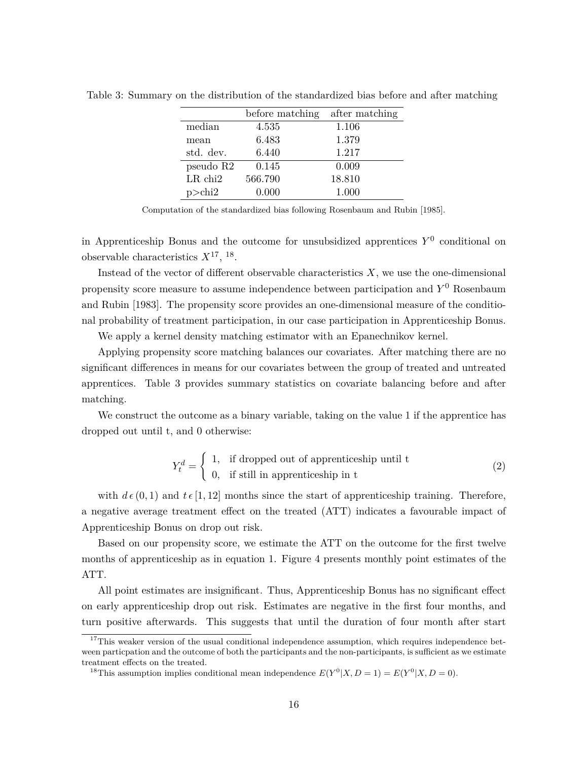|                       | before matching | after matching |
|-----------------------|-----------------|----------------|
| median                | 4.535           | 1.106          |
| mean                  | 6.483           | 1.379          |
| std. dev.             | 6.440           | 1.217          |
| pseudo R2             | 0.145           | 0.009          |
| $LR$ chi <sub>2</sub> | 566.790         | 18.810         |
| $p$ >chi2             | 0.000           | 1.000          |

Table 3: Summary on the distribution of the standardized bias before and after matching

Computation of the standardized bias following Rosenbaum and Rubin [1985].

in Apprenticeship Bonus and the outcome for unsubsidized apprentices  $Y^0$  conditional on observable characteristics  $X^{17}$ , <sup>18</sup>.

Instead of the vector of different observable characteristics *X*, we use the one-dimensional propensity score measure to assume independence between participation and *Y* <sup>0</sup> Rosenbaum and Rubin [1983]. The propensity score provides an one-dimensional measure of the conditional probability of treatment participation, in our case participation in Apprenticeship Bonus.

We apply a kernel density matching estimator with an Epanechnikov kernel.

Applying propensity score matching balances our covariates. After matching there are no significant differences in means for our covariates between the group of treated and untreated apprentices. Table 3 provides summary statistics on covariate balancing before and after matching.

We construct the outcome as a binary variable, taking on the value 1 if the apprentice has dropped out until t, and 0 otherwise:

$$
Y_t^d = \begin{cases} 1, & \text{if dropped out of appropriate} \text{ship until } t \\ 0, & \text{if still in appropriate} \text{ship in } t \end{cases} \tag{2}
$$

with  $d\epsilon (0,1)$  and  $t\epsilon [1,12]$  months since the start of apprenticeship training. Therefore, a negative average treatment effect on the treated (ATT) indicates a favourable impact of Apprenticeship Bonus on drop out risk.

Based on our propensity score, we estimate the ATT on the outcome for the first twelve months of apprenticeship as in equation 1. Figure 4 presents monthly point estimates of the ATT.

All point estimates are insignificant. Thus, Apprenticeship Bonus has no significant effect on early apprenticeship drop out risk. Estimates are negative in the first four months, and turn positive afterwards. This suggests that until the duration of four month after start

 $17$ This weaker version of the usual conditional independence assumption, which requires independence between particpation and the outcome of both the participants and the non-participants, is sufficient as we estimate treatment effects on the treated.

<sup>&</sup>lt;sup>18</sup>This assumption implies conditional mean independence  $E(Y^0|X, D=1) = E(Y^0|X, D=0)$ .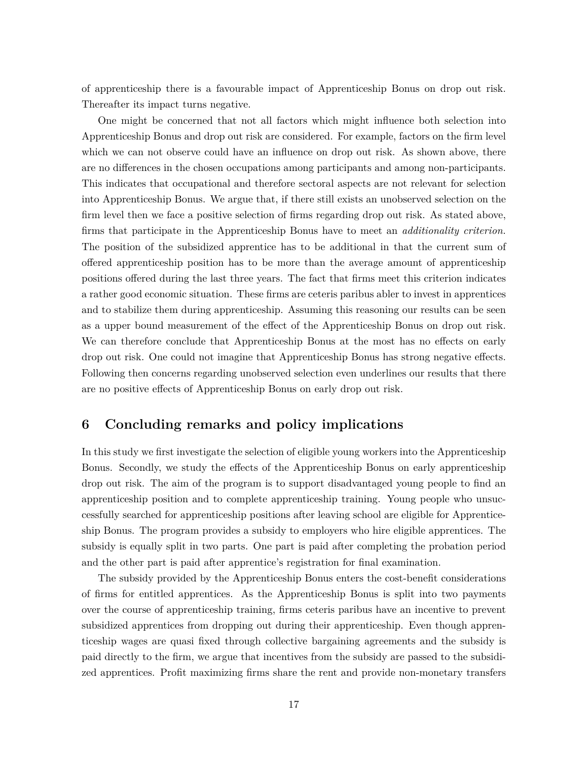of apprenticeship there is a favourable impact of Apprenticeship Bonus on drop out risk. Thereafter its impact turns negative.

One might be concerned that not all factors which might influence both selection into Apprenticeship Bonus and drop out risk are considered. For example, factors on the firm level which we can not observe could have an influence on drop out risk. As shown above, there are no differences in the chosen occupations among participants and among non-participants. This indicates that occupational and therefore sectoral aspects are not relevant for selection into Apprenticeship Bonus. We argue that, if there still exists an unobserved selection on the firm level then we face a positive selection of firms regarding drop out risk. As stated above, firms that participate in the Apprenticeship Bonus have to meet an *additionality criterion.* The position of the subsidized apprentice has to be additional in that the current sum of offered apprenticeship position has to be more than the average amount of apprenticeship positions offered during the last three years. The fact that firms meet this criterion indicates a rather good economic situation. These firms are ceteris paribus abler to invest in apprentices and to stabilize them during apprenticeship. Assuming this reasoning our results can be seen as a upper bound measurement of the effect of the Apprenticeship Bonus on drop out risk. We can therefore conclude that Apprenticeship Bonus at the most has no effects on early drop out risk. One could not imagine that Apprenticeship Bonus has strong negative effects. Following then concerns regarding unobserved selection even underlines our results that there are no positive effects of Apprenticeship Bonus on early drop out risk.

### **6 Concluding remarks and policy implications**

In this study we first investigate the selection of eligible young workers into the Apprenticeship Bonus. Secondly, we study the effects of the Apprenticeship Bonus on early apprenticeship drop out risk. The aim of the program is to support disadvantaged young people to find an apprenticeship position and to complete apprenticeship training. Young people who unsuccessfully searched for apprenticeship positions after leaving school are eligible for Apprenticeship Bonus. The program provides a subsidy to employers who hire eligible apprentices. The subsidy is equally split in two parts. One part is paid after completing the probation period and the other part is paid after apprentice's registration for final examination.

The subsidy provided by the Apprenticeship Bonus enters the cost-benefit considerations of firms for entitled apprentices. As the Apprenticeship Bonus is split into two payments over the course of apprenticeship training, firms ceteris paribus have an incentive to prevent subsidized apprentices from dropping out during their apprenticeship. Even though apprenticeship wages are quasi fixed through collective bargaining agreements and the subsidy is paid directly to the firm, we argue that incentives from the subsidy are passed to the subsidized apprentices. Profit maximizing firms share the rent and provide non-monetary transfers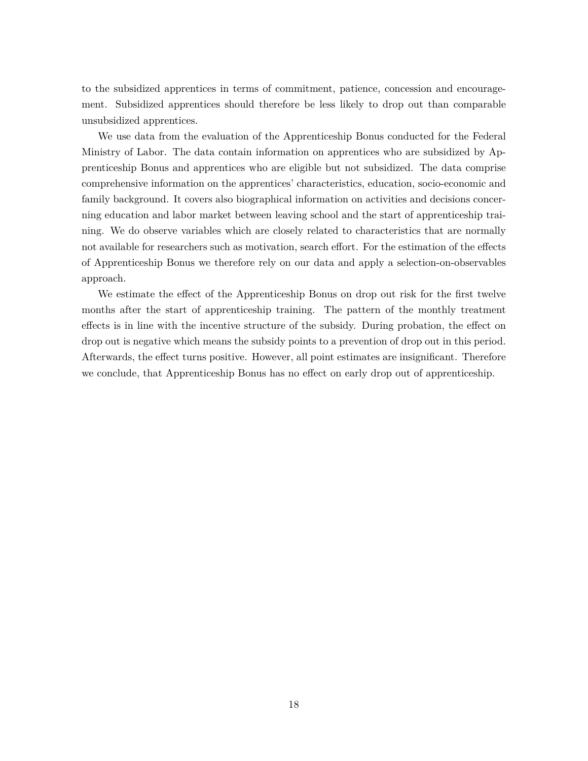to the subsidized apprentices in terms of commitment, patience, concession and encouragement. Subsidized apprentices should therefore be less likely to drop out than comparable unsubsidized apprentices.

We use data from the evaluation of the Apprenticeship Bonus conducted for the Federal Ministry of Labor. The data contain information on apprentices who are subsidized by Apprenticeship Bonus and apprentices who are eligible but not subsidized. The data comprise comprehensive information on the apprentices' characteristics, education, socio-economic and family background. It covers also biographical information on activities and decisions concerning education and labor market between leaving school and the start of apprenticeship training. We do observe variables which are closely related to characteristics that are normally not available for researchers such as motivation, search effort. For the estimation of the effects of Apprenticeship Bonus we therefore rely on our data and apply a selection-on-observables approach.

We estimate the effect of the Apprenticeship Bonus on drop out risk for the first twelve months after the start of apprenticeship training. The pattern of the monthly treatment effects is in line with the incentive structure of the subsidy. During probation, the effect on drop out is negative which means the subsidy points to a prevention of drop out in this period. Afterwards, the effect turns positive. However, all point estimates are insignificant. Therefore we conclude, that Apprenticeship Bonus has no effect on early drop out of apprenticeship.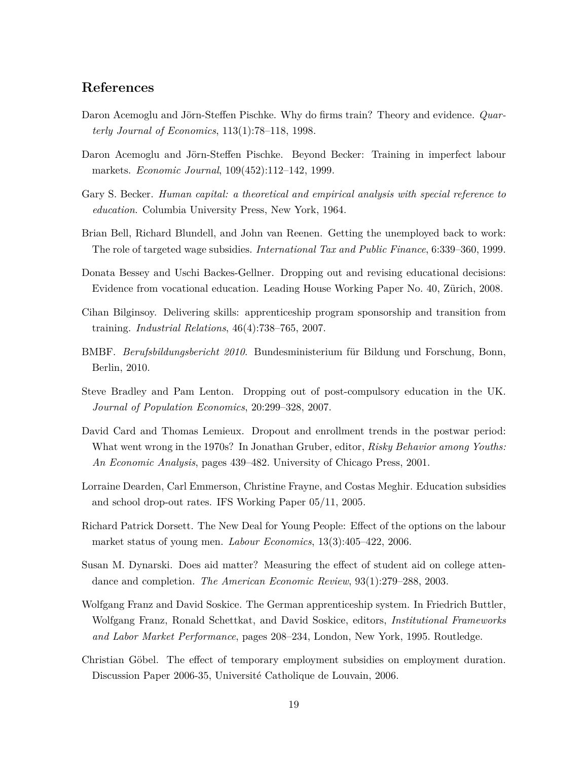### **References**

- Daron Acemoglu and Jörn-Steffen Pischke. Why do firms train? Theory and evidence. *Quarterly Journal of Economics*, 113(1):78–118, 1998.
- Daron Acemoglu and Jörn-Steffen Pischke. Beyond Becker: Training in imperfect labour markets. *Economic Journal*, 109(452):112–142, 1999.
- Gary S. Becker. *Human capital: a theoretical and empirical analysis with special reference to education*. Columbia University Press, New York, 1964.
- Brian Bell, Richard Blundell, and John van Reenen. Getting the unemployed back to work: The role of targeted wage subsidies. *International Tax and Public Finance*, 6:339–360, 1999.
- Donata Bessey and Uschi Backes-Gellner. Dropping out and revising educational decisions: Evidence from vocational education. Leading House Working Paper No. 40, Zürich, 2008.
- Cihan Bilginsoy. Delivering skills: apprenticeship program sponsorship and transition from training. *Industrial Relations*, 46(4):738–765, 2007.
- BMBF. *Berufsbildungsbericht 2010*. Bundesministerium für Bildung und Forschung, Bonn, Berlin, 2010.
- Steve Bradley and Pam Lenton. Dropping out of post-compulsory education in the UK. *Journal of Population Economics*, 20:299–328, 2007.
- David Card and Thomas Lemieux. Dropout and enrollment trends in the postwar period: What went wrong in the 1970s? In Jonathan Gruber, editor, *Risky Behavior among Youths: An Economic Analysis*, pages 439–482. University of Chicago Press, 2001.
- Lorraine Dearden, Carl Emmerson, Christine Frayne, and Costas Meghir. Education subsidies and school drop-out rates. IFS Working Paper 05/11, 2005.
- Richard Patrick Dorsett. The New Deal for Young People: Effect of the options on the labour market status of young men. *Labour Economics*, 13(3):405–422, 2006.
- Susan M. Dynarski. Does aid matter? Measuring the effect of student aid on college attendance and completion. *The American Economic Review*, 93(1):279–288, 2003.
- Wolfgang Franz and David Soskice. The German apprenticeship system. In Friedrich Buttler, Wolfgang Franz, Ronald Schettkat, and David Soskice, editors, *Institutional Frameworks and Labor Market Performance*, pages 208–234, London, New York, 1995. Routledge.
- Christian Göbel. The effect of temporary employment subsidies on employment duration. Discussion Paper 2006-35, Université Catholique de Louvain, 2006.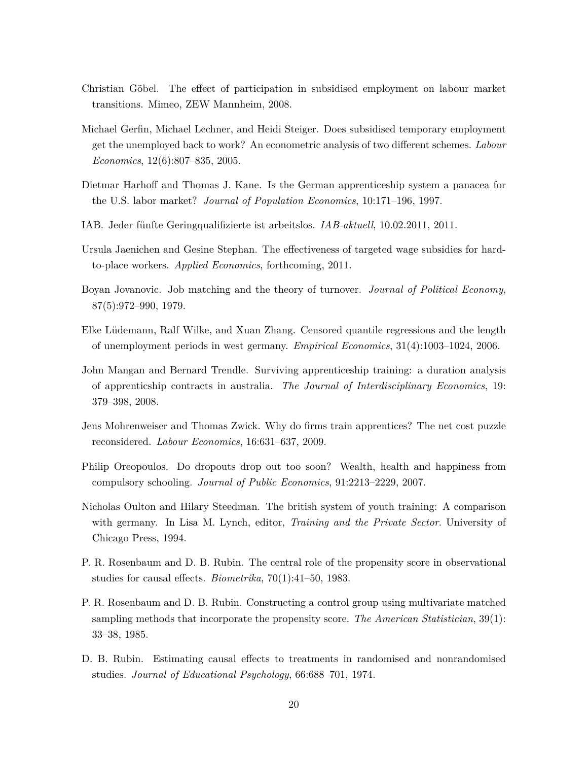- Christian Göbel. The effect of participation in subsidised employment on labour market transitions. Mimeo, ZEW Mannheim, 2008.
- Michael Gerfin, Michael Lechner, and Heidi Steiger. Does subsidised temporary employment get the unemployed back to work? An econometric analysis of two different schemes. *Labour Economics*, 12(6):807–835, 2005.
- Dietmar Harhoff and Thomas J. Kane. Is the German apprenticeship system a panacea for the U.S. labor market? *Journal of Population Economics*, 10:171–196, 1997.
- IAB. Jeder fünfte Geringqualifizierte ist arbeitslos. *IAB-aktuell*, 10.02.2011, 2011.
- Ursula Jaenichen and Gesine Stephan. The effectiveness of targeted wage subsidies for hardto-place workers. *Applied Economics*, forthcoming, 2011.
- Boyan Jovanovic. Job matching and the theory of turnover. *Journal of Political Economy*, 87(5):972–990, 1979.
- Elke Lüdemann, Ralf Wilke, and Xuan Zhang. Censored quantile regressions and the length of unemployment periods in west germany. *Empirical Economics*, 31(4):1003–1024, 2006.
- John Mangan and Bernard Trendle. Surviving apprenticeship training: a duration analysis of apprenticship contracts in australia. *The Journal of Interdisciplinary Economics*, 19: 379–398, 2008.
- Jens Mohrenweiser and Thomas Zwick. Why do firms train apprentices? The net cost puzzle reconsidered. *Labour Economics*, 16:631–637, 2009.
- Philip Oreopoulos. Do dropouts drop out too soon? Wealth, health and happiness from compulsory schooling. *Journal of Public Economics*, 91:2213–2229, 2007.
- Nicholas Oulton and Hilary Steedman. The british system of youth training: A comparison with germany. In Lisa M. Lynch, editor, *Training and the Private Sector*. University of Chicago Press, 1994.
- P. R. Rosenbaum and D. B. Rubin. The central role of the propensity score in observational studies for causal effects. *Biometrika*, 70(1):41–50, 1983.
- P. R. Rosenbaum and D. B. Rubin. Constructing a control group using multivariate matched sampling methods that incorporate the propensity score. *The American Statistician*, 39(1): 33–38, 1985.
- D. B. Rubin. Estimating causal effects to treatments in randomised and nonrandomised studies. *Journal of Educational Psychology*, 66:688–701, 1974.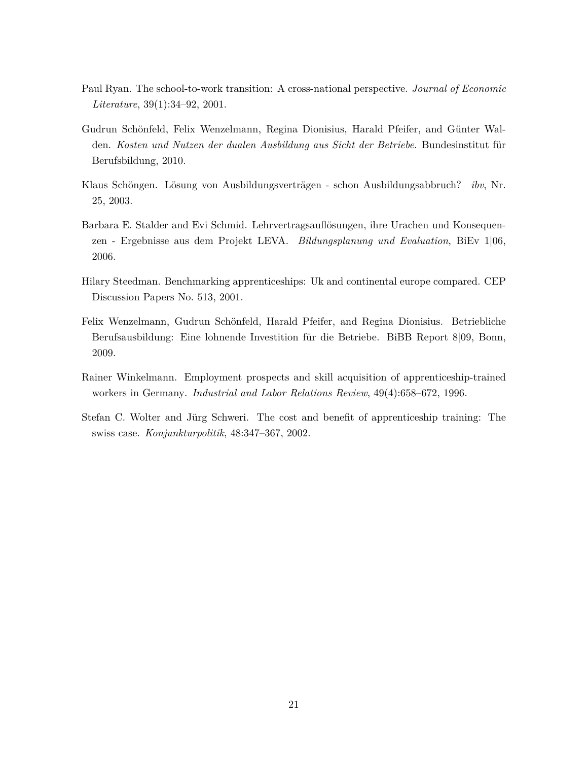- Paul Ryan. The school-to-work transition: A cross-national perspective. *Journal of Economic Literature*, 39(1):34–92, 2001.
- Gudrun Schönfeld, Felix Wenzelmann, Regina Dionisius, Harald Pfeifer, and Günter Walden. *Kosten und Nutzen der dualen Ausbildung aus Sicht der Betriebe*. Bundesinstitut für Berufsbildung, 2010.
- Klaus Schöngen. Lösung von Ausbildungsverträgen schon Ausbildungsabbruch? *ibv*, Nr. 25, 2003.
- Barbara E. Stalder and Evi Schmid. Lehrvertragsauflösungen, ihre Urachen und Konsequenzen - Ergebnisse aus dem Projekt LEVA. *Bildungsplanung und Evaluation*, BiEv 1|06, 2006.
- Hilary Steedman. Benchmarking apprenticeships: Uk and continental europe compared. CEP Discussion Papers No. 513, 2001.
- Felix Wenzelmann, Gudrun Schönfeld, Harald Pfeifer, and Regina Dionisius. Betriebliche Berufsausbildung: Eine lohnende Investition für die Betriebe. BiBB Report 8|09, Bonn, 2009.
- Rainer Winkelmann. Employment prospects and skill acquisition of apprenticeship-trained workers in Germany. *Industrial and Labor Relations Review*, 49(4):658–672, 1996.
- Stefan C. Wolter and Jürg Schweri. The cost and benefit of apprenticeship training: The swiss case. *Konjunkturpolitik*, 48:347–367, 2002.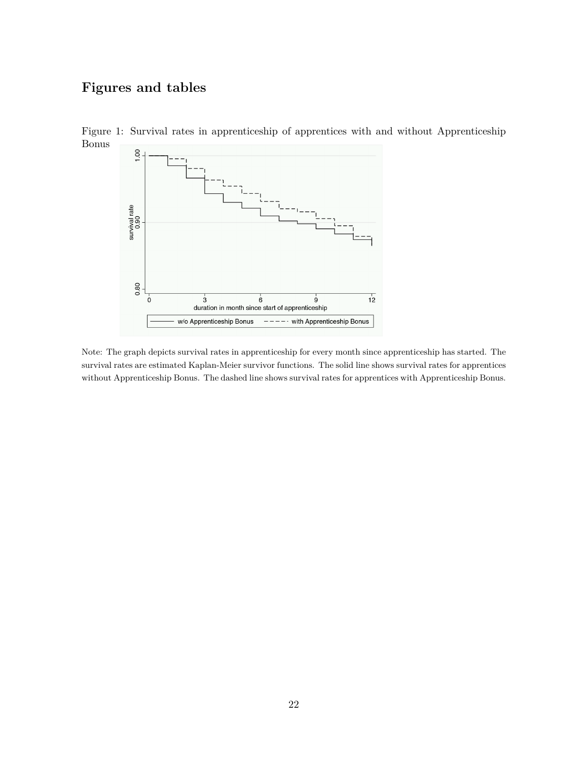# **Figures and tables**



Figure 1: Survival rates in apprenticeship of apprentices with and without Apprenticeship Bonus

Note: The graph depicts survival rates in apprenticeship for every month since apprenticeship has started. The survival rates are estimated Kaplan-Meier survivor functions. The solid line shows survival rates for apprentices without Apprenticeship Bonus. The dashed line shows survival rates for apprentices with Apprenticeship Bonus.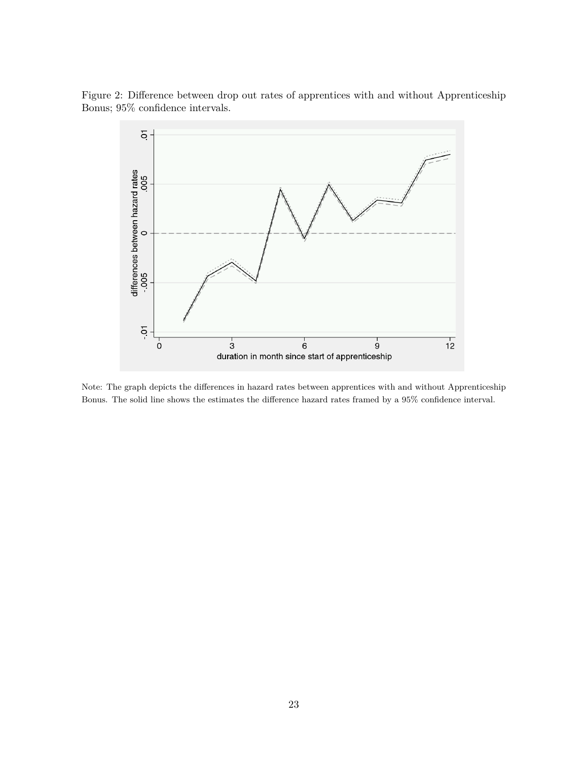Figure 2: Difference between drop out rates of apprentices with and without Apprenticeship Bonus; 95% confidence intervals.



Note: The graph depicts the differences in hazard rates between apprentices with and without Apprenticeship Bonus. The solid line shows the estimates the difference hazard rates framed by a 95% confidence interval.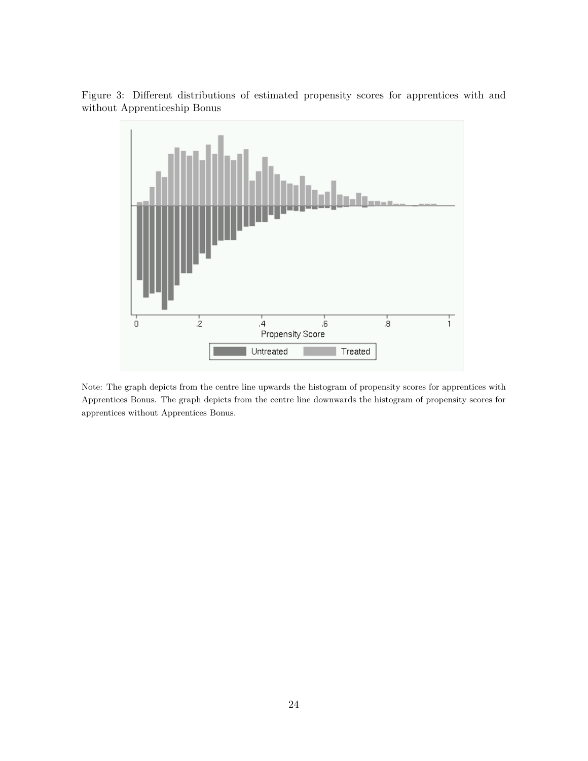

Figure 3: Different distributions of estimated propensity scores for apprentices with and without Apprenticeship Bonus

Note: The graph depicts from the centre line upwards the histogram of propensity scores for apprentices with Apprentices Bonus. The graph depicts from the centre line downwards the histogram of propensity scores for apprentices without Apprentices Bonus.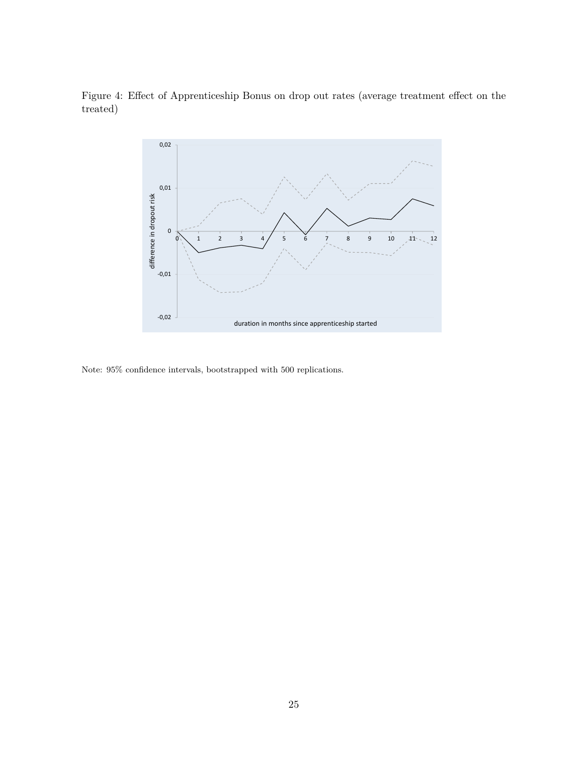Figure 4: Effect of Apprenticeship Bonus on drop out rates (average treatment effect on the treated)



Note: 95% confidence intervals, bootstrapped with 500 replications.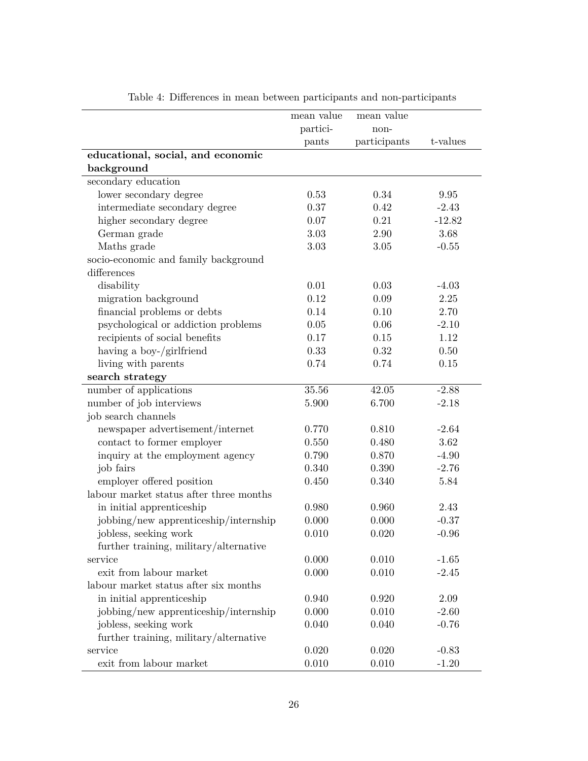|                                         | mean value | mean value   |          |
|-----------------------------------------|------------|--------------|----------|
|                                         | partici-   | non-         | t-values |
| educational, social, and economic       | pants      | participants |          |
| background                              |            |              |          |
| secondary education                     |            |              |          |
| lower secondary degree                  | 0.53       | 0.34         | 9.95     |
| intermediate secondary degree           | 0.37       | 0.42         | $-2.43$  |
| higher secondary degree                 | 0.07       | 0.21         | $-12.82$ |
| German grade                            | 3.03       | 2.90         | 3.68     |
| Maths grade                             | 3.03       | 3.05         | $-0.55$  |
| socio-economic and family background    |            |              |          |
| differences                             |            |              |          |
| disability                              | 0.01       | 0.03         | $-4.03$  |
| migration background                    | 0.12       | 0.09         | 2.25     |
| financial problems or debts             | 0.14       | 0.10         | 2.70     |
| psychological or addiction problems     | 0.05       | 0.06         | $-2.10$  |
| recipients of social benefits           | 0.17       | 0.15         | 1.12     |
| having a boy-/girlfriend                | 0.33       | 0.32         | 0.50     |
| living with parents                     | 0.74       | 0.74         | 0.15     |
| search strategy                         |            |              |          |
| number of applications                  | 35.56      | 42.05        | $-2.88$  |
| number of job interviews                | 5.900      | 6.700        | $-2.18$  |
| job search channels                     |            |              |          |
| newspaper advertisement/internet        | 0.770      | 0.810        | $-2.64$  |
| contact to former employer              | 0.550      | 0.480        | 3.62     |
| inquiry at the employment agency        | 0.790      | 0.870        | $-4.90$  |
| job fairs                               | 0.340      | 0.390        | $-2.76$  |
| employer offered position               | 0.450      | 0.340        | 5.84     |
| labour market status after three months |            |              |          |
| in initial apprenticeship               | 0.980      | 0.960        | 2.43     |
| jobbing/new apprenticeship/internship   | 0.000      | 0.000        | $-0.37$  |
| jobless, seeking work                   | 0.010      | 0.020        | $-0.96$  |
| further training, military/alternative  |            |              |          |
| service                                 | 0.000      | 0.010        | $-1.65$  |
| exit from labour market                 | 0.000      | 0.010        | $-2.45$  |
| labour market status after six months   |            |              |          |
| in initial apprenticeship               | 0.940      | 0.920        | 2.09     |
| jobbing/new apprenticeship/internship   | 0.000      | 0.010        | $-2.60$  |
| jobless, seeking work                   | 0.040      | 0.040        | $-0.76$  |
| further training, military/alternative  |            |              |          |
| service                                 | 0.020      | 0.020        | $-0.83$  |
| exit from labour market                 | $0.010\,$  | 0.010        | $-1.20$  |

Table 4: Differences in mean between participants and non-participants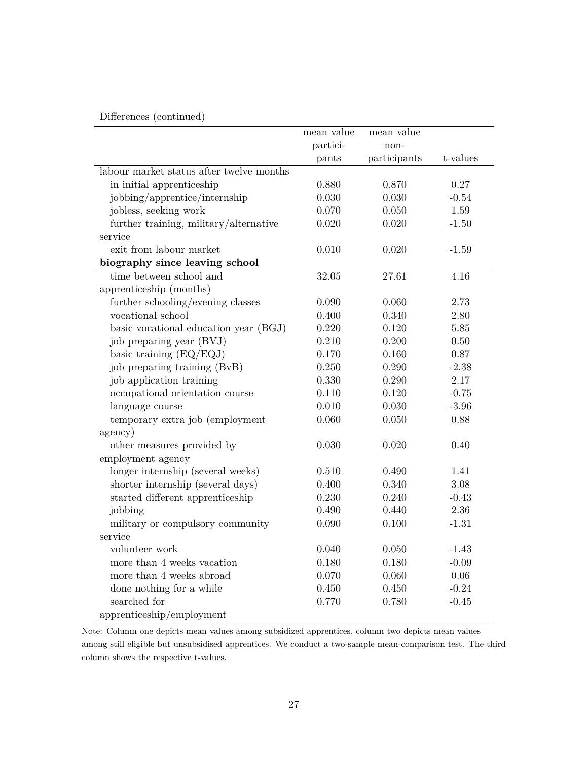### Differences (continued)

|                                          | mean value | mean value         |          |
|------------------------------------------|------------|--------------------|----------|
|                                          | partici-   | non-               |          |
|                                          | pants      | participants       | t-values |
| labour market status after twelve months |            |                    |          |
| in initial apprenticeship                | 0.880      | 0.870              | 0.27     |
| jobbing/apprentice/internship            | 0.030      | 0.030              | $-0.54$  |
| jobless, seeking work                    | 0.070      | 0.050              | 1.59     |
| further training, military/alternative   | 0.020      | 0.020              | $-1.50$  |
| service                                  |            |                    |          |
| exit from labour market                  | 0.010      | 0.020              | $-1.59$  |
| biography since leaving school           |            |                    |          |
| time between school and                  | 32.05      | $27.\overline{61}$ | 4.16     |
| apprenticeship (months)                  |            |                    |          |
| further schooling/evening classes        | 0.090      | 0.060              | 2.73     |
| vocational school                        | 0.400      | 0.340              | 2.80     |
| basic vocational education year (BGJ)    | 0.220      | 0.120              | 5.85     |
| job preparing year (BVJ)                 | 0.210      | 0.200              | 0.50     |
| basic training (EQ/EQJ)                  | 0.170      | 0.160              | 0.87     |
| job preparing training (BvB)             | 0.250      | 0.290              | $-2.38$  |
| job application training                 | 0.330      | 0.290              | 2.17     |
| occupational orientation course          | 0.110      | 0.120              | $-0.75$  |
| language course                          | 0.010      | 0.030              | $-3.96$  |
| temporary extra job (employment          | 0.060      | 0.050              | 0.88     |
| agency)                                  |            |                    |          |
| other measures provided by               | 0.030      | 0.020              | 0.40     |
| employment agency                        |            |                    |          |
| longer internship (several weeks)        | 0.510      | 0.490              | 1.41     |
| shorter internship (several days)        | 0.400      | 0.340              | 3.08     |
| started different apprenticeship         | 0.230      | 0.240              | $-0.43$  |
| jobbing                                  | 0.490      | 0.440              | $2.36\,$ |
| military or compulsory community         | 0.090      | 0.100              | $-1.31$  |
| service                                  |            |                    |          |
| volunteer work                           | 0.040      | 0.050              | $-1.43$  |
| more than 4 weeks vacation               | 0.180      | 0.180              | $-0.09$  |
| more than 4 weeks abroad                 | 0.070      | 0.060              | 0.06     |
| done nothing for a while                 | 0.450      | 0.450              | $-0.24$  |
| searched for                             | 0.770      | 0.780              | $-0.45$  |
| apprenticeship/employment                |            |                    |          |

Note: Column one depicts mean values among subsidized apprentices, column two depicts mean values among still eligible but unsubsidised apprentices. We conduct a two-sample mean-comparison test. The third column shows the respective t-values.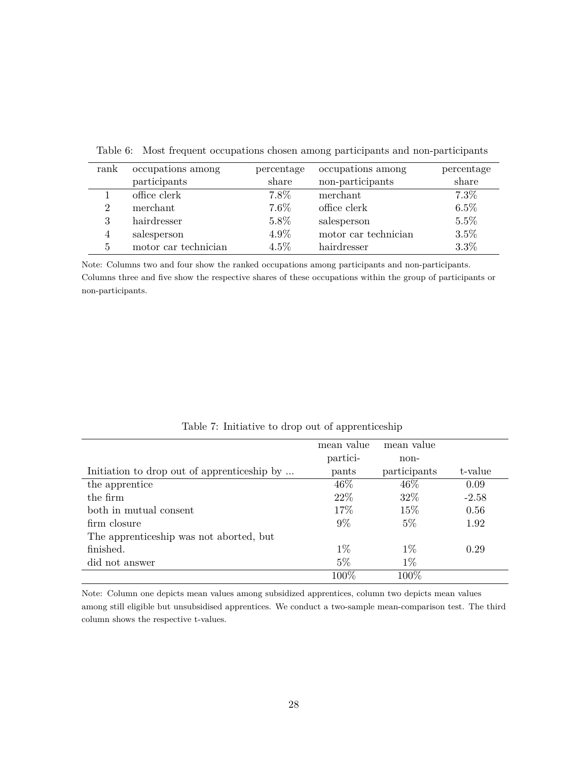| rank                        | occupations among    | percentage | occupations among    | percentage |
|-----------------------------|----------------------|------------|----------------------|------------|
|                             | participants         | share      | non-participants     | share      |
|                             | office clerk         | 7.8%       | merchant             | 7.3%       |
| $\mathcal{D}_{\mathcal{L}}$ | merchant             | 7.6%       | office clerk         | 6.5%       |
| 3                           | hairdresser          | 5.8%       | salesperson          | 5.5%       |
| $\overline{4}$              | salesperson          | 4.9%       | motor car technician | 3.5%       |
| 5                           | motor car technician | $4.5\%$    | hairdresser          | 3.3%       |
|                             |                      |            |                      |            |

Table 6: Most frequent occupations chosen among participants and non-participants

Note: Columns two and four show the ranked occupations among participants and non-participants. Columns three and five show the respective shares of these occupations within the group of participants or non-participants.

|                                             | mean value | mean value   |         |
|---------------------------------------------|------------|--------------|---------|
|                                             | partici-   | non-         |         |
| Initiation to drop out of apprenticeship by | pants      | participants | t-value |
| the apprentice                              | 46\%       | 46\%         | 0.09    |
| the firm                                    | 22\%       | 32\%         | $-2.58$ |
| both in mutual consent                      | 17%        | 15\%         | 0.56    |
| firm closure                                | $9\%$      | $5\%$        | 1.92    |
| The apprenticeship was not aborted, but     |            |              |         |
| finished.                                   | $1\%$      | $1\%$        | 0.29    |
| did not answer                              | $5\%$      | $1\%$        |         |
|                                             | 100%       | 100%         |         |

Table 7: Initiative to drop out of apprenticeship

Note: Column one depicts mean values among subsidized apprentices, column two depicts mean values among still eligible but unsubsidised apprentices. We conduct a two-sample mean-comparison test. The third column shows the respective t-values.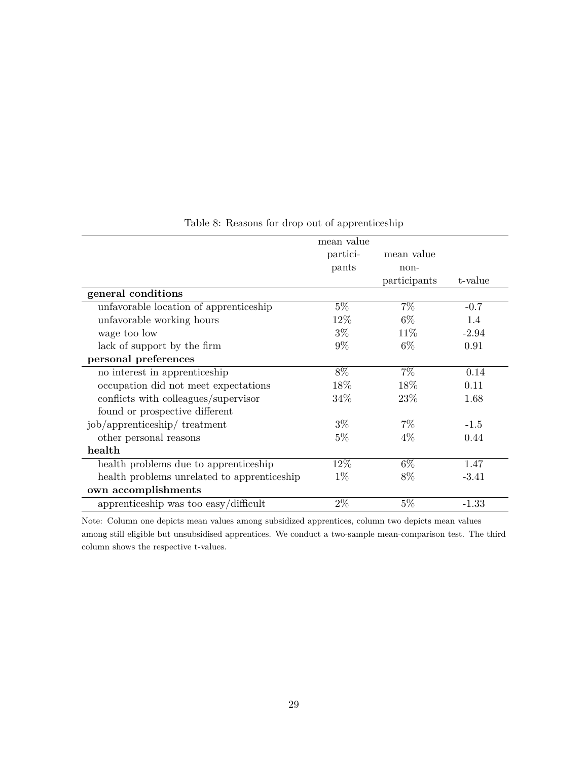|                                             | mean value |              |         |
|---------------------------------------------|------------|--------------|---------|
|                                             | partici-   | mean value   |         |
|                                             | pants      | non-         |         |
|                                             |            | participants | t-value |
| general conditions                          |            |              |         |
| unfavorable location of apprenticeship      | $5\%$      | $7\%$        | $-0.7$  |
| unfavorable working hours                   | 12\%       | $6\%$        | 1.4     |
| wage too low                                | $3\%$      | 11\%         | $-2.94$ |
| lack of support by the firm                 | $9\%$      | 6\%          | 0.91    |
| personal preferences                        |            |              |         |
| no interest in apprenticeship               | 8%         | $7\%$        | 0.14    |
| occupation did not meet expectations        | $18\%$     | 18\%         | 0.11    |
| conflicts with colleagues/supervisor        | 34\%       | 23\%         | 1.68    |
| found or prospective different              |            |              |         |
| job/apprenticeship/ treatment               | $3\%$      | $7\%$        | $-1.5$  |
| other personal reasons                      | $5\%$      | 4%           | 0.44    |
| health                                      |            |              |         |
| health problems due to apprenticeship       | 12%        | $6\%$        | 1.47    |
| health problems unrelated to apprenticeship | $1\%$      | 8%           | $-3.41$ |
| own accomplishments                         |            |              |         |
| apprenticeship was too easy/difficult       | $2\%$      | $5\%$        | $-1.33$ |

Table 8: Reasons for drop out of apprenticeship

Note: Column one depicts mean values among subsidized apprentices, column two depicts mean values among still eligible but unsubsidised apprentices. We conduct a two-sample mean-comparison test. The third column shows the respective t-values.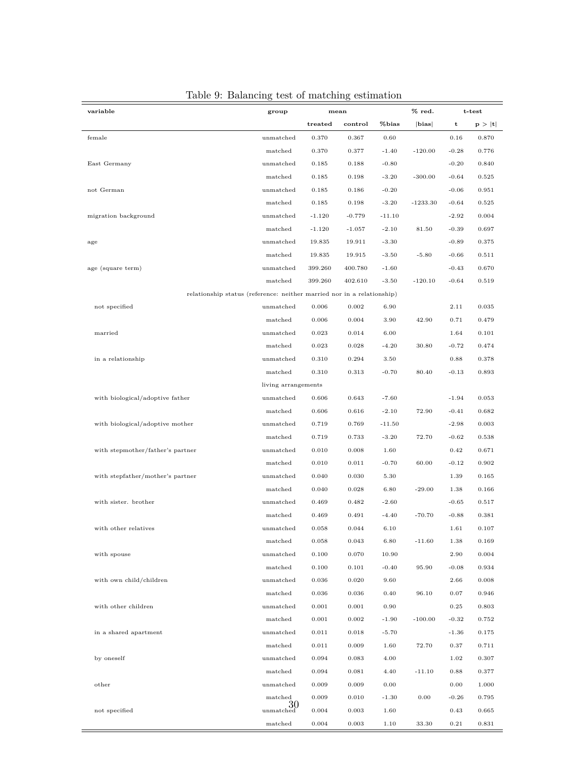| variable                         | group                                                                  |          | mean     |          | $%$ red.   |         | t-test |
|----------------------------------|------------------------------------------------------------------------|----------|----------|----------|------------|---------|--------|
|                                  |                                                                        | treated  | control  | %bias    | bias       | t       | p >  t |
| female                           | unmatched                                                              | 0.370    | 0.367    | 0.60     |            | 0.16    | 0.870  |
|                                  | matched                                                                | 0.370    | 0.377    | $-1.40$  | $-120.00$  | $-0.28$ | 0.776  |
| East Germany                     | unmatched                                                              | 0.185    | 0.188    | $-0.80$  |            | $-0.20$ | 0.840  |
|                                  | matched                                                                | 0.185    | 0.198    | $-3.20$  | $-300.00$  | $-0.64$ | 0.525  |
| not German                       | unmatched                                                              | 0.185    | 0.186    | $-0.20$  |            | $-0.06$ | 0.951  |
|                                  | matched                                                                | 0.185    | 0.198    | $-3.20$  | $-1233.30$ | $-0.64$ | 0.525  |
|                                  |                                                                        |          |          |          |            |         |        |
| migration background             | unmatched                                                              | $-1.120$ | $-0.779$ | $-11.10$ |            | $-2.92$ | 0.004  |
|                                  | matched                                                                | $-1.120$ | $-1.057$ | $-2.10$  | 81.50      | $-0.39$ | 0.697  |
| age                              | unmatched                                                              | 19.835   | 19.911   | $-3.30$  |            | $-0.89$ | 0.375  |
|                                  | matched                                                                | 19.835   | 19.915   | $-3.50$  | $-5.80$    | $-0.66$ | 0.511  |
| age (square term)                | unmatched                                                              | 399.260  | 400.780  | $-1.60$  |            | $-0.43$ | 0.670  |
|                                  | matched                                                                | 399.260  | 402.610  | $-3.50$  | $-120.10$  | $-0.64$ | 0.519  |
|                                  | relationship status (reference: neither married nor in a relationship) |          |          |          |            |         |        |
| not specified                    | unmatched                                                              | 0.006    | 0.002    | 6.90     |            | 2.11    | 0.035  |
|                                  | matched                                                                | 0.006    | 0.004    | 3.90     | 42.90      | 0.71    | 0.479  |
| married                          | unmatched                                                              | 0.023    | 0.014    | 6.00     |            | 1.64    | 0.101  |
|                                  | matched                                                                | 0.023    | 0.028    | $-4.20$  | 30.80      | $-0.72$ | 0.474  |
| in a relationship                | unmatched                                                              | 0.310    | 0.294    | 3.50     |            | 0.88    | 0.378  |
|                                  | matched                                                                | 0.310    | 0.313    | $-0.70$  | 80.40      | $-0.13$ | 0.893  |
|                                  | living arrangements                                                    |          |          |          |            |         |        |
| with biological/adoptive father  | unmatched                                                              | 0.606    | 0.643    | $-7.60$  |            | $-1.94$ | 0.053  |
|                                  | matched                                                                | 0.606    | 0.616    | $-2.10$  | 72.90      | $-0.41$ | 0.682  |
| with biological/adoptive mother  | unmatched                                                              | 0.719    | 0.769    | $-11.50$ |            | $-2.98$ | 0.003  |
|                                  | matched                                                                | 0.719    | 0.733    | $-3.20$  | 72.70      | $-0.62$ | 0.538  |
| with stepmother/father's partner | unmatched                                                              | 0.010    | 0.008    | 1.60     |            | 0.42    | 0.671  |
|                                  | matched                                                                | 0.010    | 0.011    | $-0.70$  | 60.00      | $-0.12$ | 0.902  |
| with stepfather/mother's partner | unmatched                                                              | 0.040    | 0.030    | 5.30     |            | 1.39    | 0.165  |
|                                  | matched                                                                | 0.040    | 0.028    | 6.80     | $-29.00$   | 1.38    | 0.166  |
| with sister. brother             | unmatched                                                              | 0.469    | 0.482    | $-2.60$  |            | $-0.65$ | 0.517  |
|                                  | matched                                                                | 0.469    | 0.491    | $-4.40$  | $-70.70$   | $-0.88$ | 0.381  |
|                                  |                                                                        |          |          |          |            |         |        |
| with other relatives             | unmatched                                                              | 0.058    | 0.044    | 6.10     |            | 1.61    | 0.107  |
|                                  | matched                                                                | 0.058    | 0.043    | 6.80     | $-11.60$   | 1.38    | 0.169  |
| with spouse                      | unmatched                                                              | 0.100    | 0.070    | 10.90    |            | 2.90    | 0.004  |
|                                  | matched                                                                | 0.100    | 0.101    | $-0.40$  | 95.90      | $-0.08$ | 0.934  |
| with own child/children          | unmatched                                                              | 0.036    | 0.020    | 9.60     |            | 2.66    | 0.008  |
|                                  | matched                                                                | 0.036    | 0.036    | 0.40     | 96.10      | 0.07    | 0.946  |
| with other children              | unmatched                                                              | 0.001    | 0.001    | 0.90     |            | 0.25    | 0.803  |
|                                  | matched                                                                | 0.001    | 0.002    | $-1.90$  | $-100.00$  | $-0.32$ | 0.752  |
| in a shared apartment            | unmatched                                                              | 0.011    | 0.018    | $-5.70$  |            | $-1.36$ | 0.175  |
|                                  | matched                                                                | 0.011    | 0.009    | 1.60     | 72.70      | 0.37    | 0.711  |
| by oneself                       | unmatched                                                              | 0.094    | 0.083    | 4.00     |            | 1.02    | 0.307  |
|                                  | matched                                                                | 0.094    | 0.081    | 4.40     | $-11.10$   | 0.88    | 0.377  |
| other                            | unmatched                                                              | 0.009    | 0.009    | 0.00     |            | 0.00    | 1.000  |
|                                  | matched                                                                | 0.009    | 0.010    | $-1.30$  | 0.00       | $-0.26$ | 0.795  |
| not specified                    | 30<br>unmatched                                                        | 0.004    | 0.003    | 1.60     |            | 0.43    | 0.665  |
|                                  | matched                                                                | 0.004    | 0.003    | 1.10     | 33.30      | 0.21    | 0.831  |

### Table 9: Balancing test of matching estimation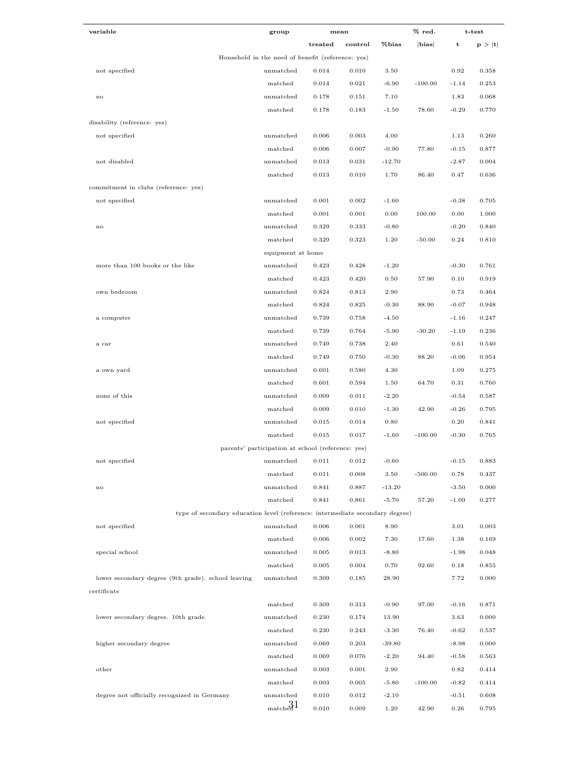| variable                                                                     | group                                             |         | mean    |          | % red.    |         | t-test |
|------------------------------------------------------------------------------|---------------------------------------------------|---------|---------|----------|-----------|---------|--------|
|                                                                              |                                                   | treated | control | %bias    | bias      | t       | p >  t |
|                                                                              | Household in the need of benefit (reference: yes) |         |         |          |           |         |        |
| not specified                                                                | unmatched                                         | 0.014   | 0.010   | 3.50     |           | 0.92    | 0.358  |
|                                                                              | matched                                           | 0.014   | 0.021   | $-6.90$  | $-100.00$ | $-1.14$ | 0.253  |
| no                                                                           | unmatched                                         | 0.178   | 0.151   | 7.10     |           | 1.83    | 0.068  |
|                                                                              | matched                                           | 0.178   | 0.183   | $-1.50$  | 78.60     | $-0.29$ | 0.770  |
| disability (reference: yes)                                                  |                                                   |         |         |          |           |         |        |
| not specified                                                                | unmatched                                         | 0.006   | 0.003   | 4.00     |           | 1.13    | 0.260  |
|                                                                              | matched                                           | 0.006   | 0.007   | $-0.90$  | 77.80     | $-0.15$ | 0.877  |
| not disabled                                                                 | unmatched                                         | 0.013   | 0.031   | $-12.70$ |           | $-2.87$ | 0.004  |
|                                                                              | matched                                           | 0.013   | 0.010   | 1.70     | 86.40     | 0.47    | 0.636  |
| commitment in clubs (reference: yes)                                         |                                                   |         |         |          |           |         |        |
| not specified                                                                | unmatched                                         | 0.001   | 0.002   | $-1.60$  |           | $-0.38$ | 0.705  |
|                                                                              | matched                                           | 0.001   | 0.001   | 0.00     | 100.00    | 0.00    | 1.000  |
| $_{\rm no}$                                                                  | unmatched                                         | 0.329   | 0.333   | $-0.80$  |           | $-0.20$ | 0.840  |
|                                                                              | matched                                           | 0.329   | 0.323   | 1.20     | $-50.00$  | 0.24    | 0.810  |
|                                                                              | equipment at home                                 |         |         |          |           |         |        |
| more than 100 books or the like                                              | unmatched                                         | 0.423   | 0.428   | $-1.20$  |           | $-0.30$ | 0.761  |
|                                                                              | matched                                           | 0.423   | 0.420   | 0.50     | 57.90     | 0.10    | 0.919  |
| own bedroom                                                                  | unmatched                                         | 0.824   | 0.813   | 2.90     |           | 0.73    | 0.464  |
|                                                                              | matched                                           | 0.824   | 0.825   | $-0.30$  | 88.90     | $-0.07$ | 0.948  |
| a computer                                                                   | unmatched                                         | 0.739   | 0.758   | $-4.50$  |           | $-1.16$ | 0.247  |
|                                                                              | matched                                           | 0.739   | 0.764   | $-5.90$  | $-30.20$  | $-1.19$ | 0.236  |
| a car                                                                        | unmatched                                         | 0.749   | 0.738   | 2.40     |           | 0.61    | 0.540  |
|                                                                              | matched                                           | 0.749   | 0.750   | $-0.30$  | 88.20     | $-0.06$ | 0.954  |
| a own yard                                                                   | unmatched                                         | 0.601   | 0.580   | 4.30     |           | 1.09    | 0.275  |
|                                                                              | matched                                           | 0.601   | 0.594   | 1.50     | 64.70     | 0.31    | 0.760  |
| none of this                                                                 | unmatched                                         | 0.009   | 0.011   | $-2.20$  |           | $-0.54$ | 0.587  |
|                                                                              | matched                                           | 0.009   | 0.010   | $-1.30$  | 42.90     | $-0.26$ | 0.795  |
| not specified                                                                | unmatched                                         | 0.015   | 0.014   | 0.80     |           | 0.20    | 0.841  |
|                                                                              | matched                                           | 0.015   | 0.017   | $-1.60$  | $-100.00$ | $-0.30$ | 0.765  |
|                                                                              | parents' participation at school (reference: yes) |         |         |          |           |         |        |
| not specified                                                                | unmatched                                         | 0.011   | 0.012   | $-0.60$  |           | $-0.15$ | 0.883  |
|                                                                              | matched                                           | 0.011   | 0.008   | 3.50     | $-500.00$ | 0.78    | 0.437  |
| $_{\rm no}$                                                                  | unmatched                                         | 0.841   | 0.887   | $-13.20$ |           | $-3.50$ | 0.000  |
|                                                                              | matched                                           | 0.841   | 0.861   | $-5.70$  | 57.20     | $-1.09$ | 0.277  |
| type of secondary education level (reference: intermediate secondary degree) |                                                   |         |         |          |           |         |        |
| not specified                                                                | unmatched                                         | 0.006   | 0.001   | 8.90     |           | 3.01    | 0.003  |
|                                                                              | matched                                           | 0.006   | 0.002   | 7.30     | 17.60     | 1.38    | 0.169  |
| special school                                                               | unmatched                                         | 0.005   | 0.013   | $-8.80$  |           | $-1.98$ | 0.048  |
|                                                                              | matched                                           | 0.005   | 0.004   | 0.70     | 92.60     | 0.18    | 0.855  |
| lower secondary degree (9th grade). school leaving                           | unmatched                                         | 0.309   | 0.185   | 28.90    |           | 7.72    | 0.000  |
| certificate                                                                  |                                                   |         |         |          |           |         |        |
|                                                                              | matched                                           | 0.309   | 0.313   | $-0.90$  | 97.00     | $-0.16$ | 0.871  |
| lower secondary degree. 10th grade                                           | unmatched                                         | 0.230   | 0.174   | 13.90    |           | 3.63    | 0.000  |
|                                                                              | matched                                           | 0.230   | 0.243   | $-3.30$  | 76.40     | $-0.62$ | 0.537  |
| higher secondary degree                                                      | unmatched                                         | 0.069   | 0.203   | $-39.80$ |           | $-8.98$ | 0.000  |
|                                                                              | matched                                           | 0.069   | 0.076   | $-2.20$  | 94.40     | $-0.58$ | 0.563  |
| other                                                                        | unmatched                                         | 0.003   | 0.001   | 2.90     |           | 0.82    | 0.414  |
|                                                                              | matched                                           | 0.003   | 0.005   | $-5.80$  | $-100.00$ | $-0.82$ | 0.414  |
| degree not officially recognized in Germany                                  | unmatched                                         | 0.010   | 0.012   | $-2.10$  |           | $-0.51$ | 0.608  |
|                                                                              | $_{\text{match}}$ 31                              | 0.010   | 0.009   | 1.20     | 42.90     | 0.26    | 0.795  |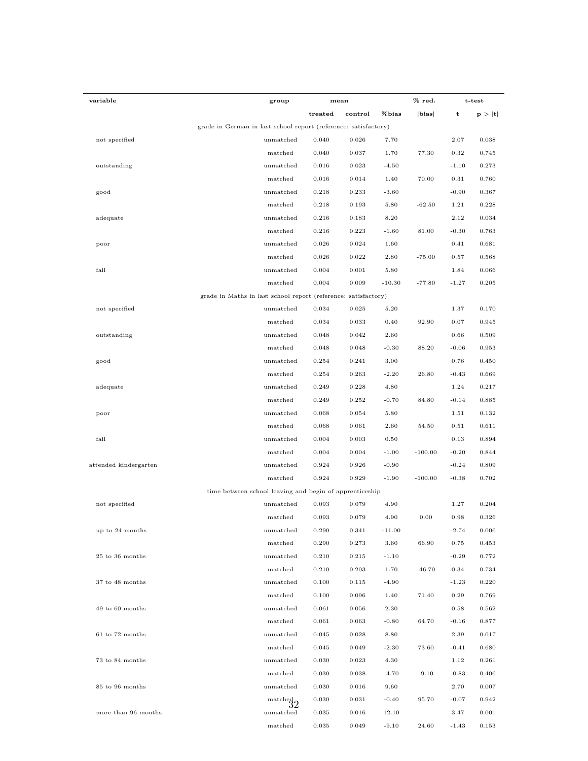| variable              | group                                                           | mean    |         |          | $%$ red.  |         | t-test |
|-----------------------|-----------------------------------------------------------------|---------|---------|----------|-----------|---------|--------|
|                       |                                                                 | treated | control | %bias    | bias      | t       | p >  t |
|                       | grade in German in last school report (reference: satisfactory) |         |         |          |           |         |        |
| not specified         | unmatched                                                       | 0.040   | 0.026   | 7.70     |           | 2.07    | 0.038  |
|                       | matched                                                         | 0.040   | 0.037   | 1.70     | 77.30     | 0.32    | 0.745  |
| outstanding           | unmatched                                                       | 0.016   | 0.023   | $-4.50$  |           | $-1.10$ | 0.273  |
|                       | matched                                                         | 0.016   | 0.014   | 1.40     | 70.00     | 0.31    | 0.760  |
| good                  | unmatched                                                       | 0.218   | 0.233   | $-3.60$  |           | $-0.90$ | 0.367  |
|                       | matched                                                         | 0.218   | 0.193   | 5.80     | $-62.50$  | 1.21    | 0.228  |
| adequate              | unmatched                                                       | 0.216   | 0.183   | 8.20     |           | 2.12    | 0.034  |
|                       | matched                                                         | 0.216   | 0.223   | $-1.60$  | 81.00     | $-0.30$ | 0.763  |
| poor                  | $\text{unmatched}$                                              | 0.026   | 0.024   | 1.60     |           | 0.41    | 0.681  |
|                       | matched                                                         | 0.026   | 0.022   | 2.80     | $-75.00$  | 0.57    | 0.568  |
| fail                  | unmatched                                                       | 0.004   | 0.001   | 5.80     |           | 1.84    | 0.066  |
|                       | matched                                                         | 0.004   | 0.009   | $-10.30$ | $-77.80$  | $-1.27$ | 0.205  |
|                       | grade in Maths in last school report (reference: satisfactory)  |         |         |          |           |         |        |
| not specified         | unmatched                                                       | 0.034   | 0.025   | 5.20     |           | 1.37    | 0.170  |
|                       | matched                                                         | 0.034   | 0.033   | 0.40     | 92.90     | 0.07    | 0.945  |
| outstanding           | unmatched                                                       | 0.048   | 0.042   | 2.60     |           | 0.66    | 0.509  |
|                       | matched                                                         | 0.048   | 0.048   | $-0.30$  | 88.20     | $-0.06$ | 0.953  |
| good                  | unmatched                                                       | 0.254   | 0.241   | 3.00     |           | 0.76    | 0.450  |
|                       | matched                                                         | 0.254   | 0.263   | $-2.20$  | 26.80     | $-0.43$ | 0.669  |
| adequate              | unmatched                                                       | 0.249   | 0.228   | 4.80     |           | 1.24    | 0.217  |
|                       | matched                                                         | 0.249   | 0.252   | $-0.70$  | 84.80     | $-0.14$ | 0.885  |
| poor                  | unmatched                                                       | 0.068   | 0.054   | 5.80     |           | 1.51    | 0.132  |
|                       | matched                                                         | 0.068   | 0.061   | 2.60     | 54.50     | 0.51    | 0.611  |
| fail                  | unmatched                                                       | 0.004   | 0.003   | 0.50     |           | 0.13    | 0.894  |
|                       | matched                                                         | 0.004   | 0.004   | $-1.00$  | $-100.00$ | $-0.20$ | 0.844  |
| attended kindergarten | unmatched                                                       | 0.924   | 0.926   | $-0.90$  |           | $-0.24$ | 0.809  |
|                       | matched                                                         | 0.924   | 0.929   | $-1.90$  | $-100.00$ | $-0.38$ | 0.702  |
|                       | time between school leaving and begin of apprenticeship         |         |         |          |           |         |        |
| not specified         | unmatched                                                       | 0.093   | 0.079   | 4.90     |           | 1.27    | 0.204  |
|                       | matched                                                         | 0.093   | 0.079   | 4.90     | 0.00      | 0.98    | 0.326  |
| up to 24 months       | unmatched                                                       | 0.290   | 0.341   | $-11.00$ |           | $-2.74$ | 0.006  |
|                       | matched                                                         | 0.290   | 0.273   | 3.60     | 66.90     | 0.75    | 0.453  |
| 25 to 36 months       | unmatched                                                       | 0.210   | 0.215   | $-1.10$  |           | $-0.29$ | 0.772  |
|                       | matched                                                         | 0.210   | 0.203   | 1.70     | $-46.70$  | 0.34    | 0.734  |
| 37 to 48 months       | unmatched                                                       | 0.100   | 0.115   | $-4.90$  |           | $-1.23$ | 0.220  |
|                       | matched                                                         | 0.100   | 0.096   | 1.40     | 71.40     | 0.29    | 0.769  |
| 49 to 60 months       | unmatched                                                       | 0.061   | 0.056   | 2.30     |           | 0.58    | 0.562  |
|                       | matched                                                         | 0.061   | 0.063   | $-0.80$  | 64.70     | $-0.16$ | 0.877  |
| 61 to 72 months       | unmatched                                                       | 0.045   | 0.028   | 8.80     |           | 2.39    | 0.017  |
|                       | matched                                                         | 0.045   | 0.049   | $-2.30$  | 73.60     | $-0.41$ | 0.680  |
| 73 to 84 months       | unmatched                                                       | 0.030   | 0.023   | 4.30     |           | 1.12    | 0.261  |
|                       | matched                                                         | 0.030   | 0.038   | $-4.70$  | $-9.10$   | $-0.83$ | 0.406  |
| 85 to 96 months       | unmatched                                                       | 0.030   | 0.016   | 9.60     |           | 2.70    | 0.007  |
|                       | $rac{\text{matched}}{32}$                                       | 0.030   | 0.031   | $-0.40$  | 95.70     | $-0.07$ | 0.942  |
| more than 96 months   | unmatched                                                       | 0.035   | 0.016   | 12.10    |           | 3.47    | 0.001  |
|                       | matched                                                         | 0.035   | 0.049   | $-9.10$  | 24.60     | $-1.43$ | 0.153  |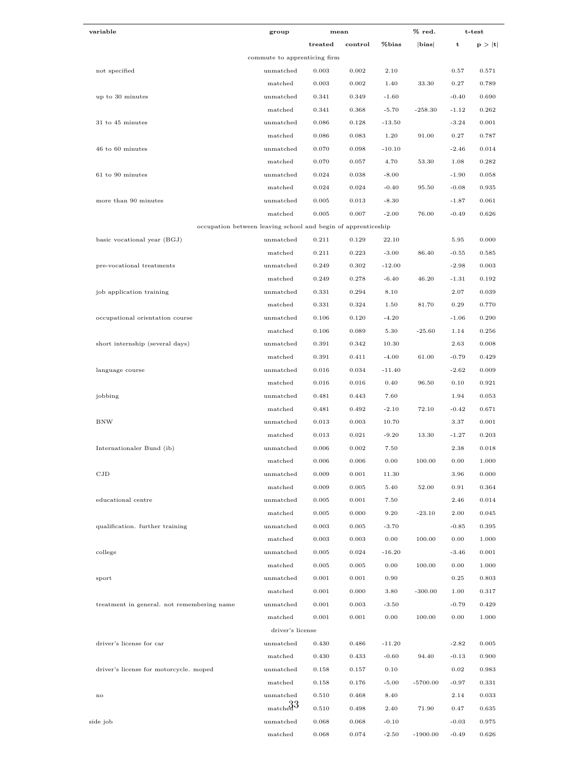| variable                                   | group                                                         | mean    |         |          | % red.     | t-test      |        |
|--------------------------------------------|---------------------------------------------------------------|---------|---------|----------|------------|-------------|--------|
|                                            |                                                               | treated | control | %bias    | bias       | $\mathbf t$ | p >  t |
|                                            | commute to apprenticing firm                                  |         |         |          |            |             |        |
| not specified                              | unmatched                                                     | 0.003   | 0.002   | 2.10     |            | 0.57        | 0.571  |
|                                            | matched                                                       | 0.003   | 0.002   | 1.40     | 33.30      | 0.27        | 0.789  |
| up to 30 minutes                           | unmatched                                                     | 0.341   | 0.349   | $-1.60$  |            | $-0.40$     | 0.690  |
|                                            | matched                                                       | 0.341   | 0.368   | $-5.70$  | $-258.30$  | $-1.12$     | 0.262  |
| 31 to 45 minutes                           | unmatched                                                     | 0.086   | 0.128   | $-13.50$ |            | $-3.24$     | 0.001  |
|                                            | matched                                                       | 0.086   | 0.083   | 1.20     | 91.00      | 0.27        | 0.787  |
| 46 to 60 minutes                           | unmatched                                                     | 0.070   | 0.098   | $-10.10$ |            | $-2.46$     | 0.014  |
|                                            | matched                                                       | 0.070   | 0.057   | 4.70     | 53.30      | 1.08        | 0.282  |
| 61 to 90 minutes                           | unmatched                                                     | 0.024   | 0.038   | $-8.00$  |            | $-1.90$     | 0.058  |
|                                            | matched                                                       | 0.024   | 0.024   | $-0.40$  | 95.50      | $-0.08$     | 0.935  |
| more than 90 minutes                       | unmatched                                                     | 0.005   | 0.013   | $-8.30$  |            | $-1.87$     | 0.061  |
|                                            | matched                                                       | 0.005   | 0.007   | $-2.00$  | 76.00      | $-0.49$     | 0.626  |
|                                            | occupation between leaving school and begin of apprenticeship |         |         |          |            |             |        |
| basic vocational year (BGJ)                | unmatched                                                     | 0.211   | 0.129   | 22.10    |            | 5.95        | 0.000  |
|                                            | matched                                                       | 0.211   | 0.223   | $-3.00$  | 86.40      | $-0.55$     | 0.585  |
| pre-vocational treatments                  | unmatched                                                     | 0.249   | 0.302   | $-12.00$ |            | $-2.98$     | 0.003  |
|                                            | matched                                                       | 0.249   | 0.278   | $-6.40$  | 46.20      | $-1.31$     | 0.192  |
| job application training                   | unmatched                                                     | 0.331   | 0.294   | 8.10     |            | 2.07        | 0.039  |
|                                            | matched                                                       | 0.331   | 0.324   | 1.50     | 81.70      | 0.29        | 0.770  |
| occupational orientation course            | unmatched                                                     | 0.106   | 0.120   | $-4.20$  |            | $-1.06$     | 0.290  |
|                                            | matched                                                       | 0.106   | 0.089   | 5.30     | $-25.60$   | 1.14        | 0.256  |
| short internship (several days)            | unmatched                                                     | 0.391   | 0.342   | 10.30    |            | 2.63        | 0.008  |
|                                            | matched                                                       | 0.391   | 0.411   | $-4.00$  | 61.00      | $-0.79$     | 0.429  |
| language course                            | unmatched                                                     | 0.016   | 0.034   | $-11.40$ |            | $-2.62$     | 0.009  |
|                                            |                                                               |         | 0.016   |          |            |             | 0.921  |
|                                            | matched                                                       | 0.016   |         | 0.40     | 96.50      | 0.10        |        |
| jobbing                                    | unmatched                                                     | 0.481   | 0.443   | 7.60     |            | 1.94        | 0.053  |
|                                            | matched                                                       | 0.481   | 0.492   | $-2.10$  | 72.10      | $-0.42$     | 0.671  |
| BNW                                        | unmatched                                                     | 0.013   | 0.003   | 10.70    |            | 3.37        | 0.001  |
|                                            | matched                                                       | 0.013   | 0.021   | $-9.20$  | 13.30      | $-1.27$     | 0.203  |
| Internationaler Bund (ib)                  | unmatched                                                     | 0.006   | 0.002   | 7.50     |            | 2.38        | 0.018  |
|                                            | matched                                                       | 0.006   | 0.006   | 0.00     | 100.00     | $\rm 0.00$  | 1.000  |
| CJD                                        | unmatched                                                     | 0.009   | 0.001   | 11.30    |            | 3.96        | 0.000  |
|                                            | matched                                                       | 0.009   | 0.005   | 5.40     | 52.00      | 0.91        | 0.364  |
| educational centre                         | unmatched                                                     | 0.005   | 0.001   | 7.50     |            | 2.46        | 0.014  |
|                                            | matched                                                       | 0.005   | 0.000   | 9.20     | $-23.10$   | 2.00        | 0.045  |
| qualification. further training            | unmatched                                                     | 0.003   | 0.005   | $-3.70$  |            | $-0.85$     | 0.395  |
|                                            | matched                                                       | 0.003   | 0.003   | 0.00     | 100.00     | 0.00        | 1.000  |
| college                                    | unmatched                                                     | 0.005   | 0.024   | $-16.20$ |            | $-3.46$     | 0.001  |
|                                            | matched                                                       | 0.005   | 0.005   | 0.00     | 100.00     | 0.00        | 1.000  |
| sport                                      | unmatched                                                     | 0.001   | 0.001   | 0.90     |            | 0.25        | 0.803  |
|                                            | matched                                                       | 0.001   | 0.000   | 3.80     | $-300.00$  | 1.00        | 0.317  |
| treatment in general. not remembering name | unmatched                                                     | 0.001   | 0.003   | $-3.50$  |            | $-0.79$     | 0.429  |
|                                            | matched                                                       | 0.001   | 0.001   | 0.00     | 100.00     | 0.00        | 1.000  |
|                                            | driver's license                                              |         |         |          |            |             |        |
| driver's license for car                   | unmatched                                                     | 0.430   | 0.486   | $-11.20$ |            | $-2.82$     | 0.005  |
|                                            | matched                                                       | 0.430   | 0.433   | $-0.60$  | 94.40      | $-0.13$     | 0.900  |
| driver's license for motorcycle. moped     | unmatched                                                     | 0.158   | 0.157   | 0.10     |            | 0.02        | 0.983  |
|                                            | matched                                                       | 0.158   | 0.176   | $-5.00$  | $-5700.00$ | $-0.97$     | 0.331  |
| $\mathbf{no}$                              | unmatched                                                     | 0.510   | 0.468   | 8.40     |            | 2.14        | 0.033  |
|                                            | $_{\text{match}}^{33}$                                        | 0.510   | 0.498   | 2.40     | 71.90      | 0.47        | 0.635  |
| side job                                   | unmatched                                                     | 0.068   | 0.068   | $-0.10$  |            | $-0.03$     | 0.975  |
|                                            | matched                                                       | 0.068   | 0.074   | $-2.50$  | $-1900.00$ | $-0.49$     | 0.626  |